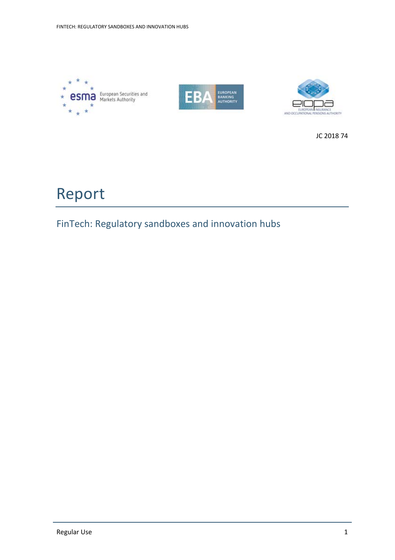





JC 2018 74

# Report

# FinTech: Regulatory sandboxes and innovation hubs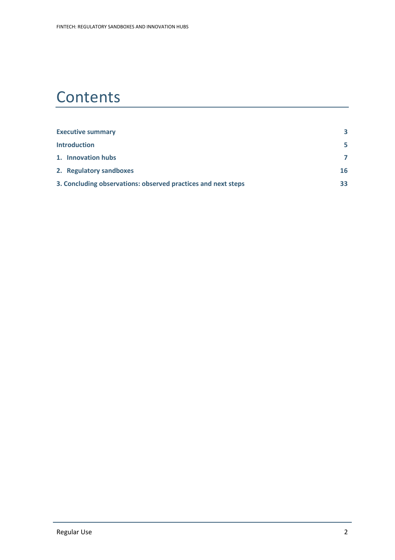# **Contents**

| <b>Executive summary</b>                                      |                |  |  |
|---------------------------------------------------------------|----------------|--|--|
| <b>Introduction</b>                                           | 5.             |  |  |
| 1. Innovation hubs                                            | $\overline{7}$ |  |  |
| 2. Regulatory sandboxes                                       | 16             |  |  |
| 3. Concluding observations: observed practices and next steps | 33             |  |  |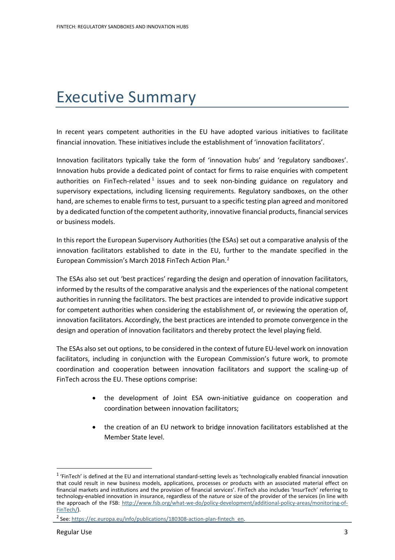# Executive Summary

In recent years competent authorities in the EU have adopted various initiatives to facilitate financial innovation. These initiatives include the establishment of 'innovation facilitators'.

Innovation facilitators typically take the form of 'innovation hubs' and 'regulatory sandboxes'. Innovation hubs provide a dedicated point of contact for firms to raise enquiries with competent authorities on FinTech-related  $1$  issues and to seek non-binding guidance on regulatory and supervisory expectations, including licensing requirements. Regulatory sandboxes, on the other hand, are schemes to enable firms to test, pursuant to a specific testing plan agreed and monitored by a dedicated function of the competent authority, innovative financial products, financial services or business models.

In this report the European Supervisory Authorities (the ESAs) set out a comparative analysis of the innovation facilitators established to date in the EU, further to the mandate specified in the European Commission's March 2018 FinTech Action Plan.[2](#page-2-1)

The ESAs also set out 'best practices' regarding the design and operation of innovation facilitators, informed by the results of the comparative analysis and the experiences of the national competent authorities in running the facilitators. The best practices are intended to provide indicative support for competent authorities when considering the establishment of, or reviewing the operation of, innovation facilitators. Accordingly, the best practices are intended to promote convergence in the design and operation of innovation facilitators and thereby protect the level playing field.

The ESAs also set out options, to be considered in the context of future EU-level work on innovation facilitators, including in conjunction with the European Commission's future work, to promote coordination and cooperation between innovation facilitators and support the scaling-up of FinTech across the EU. These options comprise:

- the development of Joint ESA own-initiative guidance on cooperation and coordination between innovation facilitators;
- the creation of an EU network to bridge innovation facilitators established at the Member State level.

<span id="page-2-0"></span> $1$  'FinTech' is defined at the EU and international standard-setting levels as 'technologically enabled financial innovation that could result in new business models, applications, processes or products with an associated material effect on financial markets and institutions and the provision of financial services'. FinTech also includes 'InsurTech' referring to technology-enabled innovation in insurance, regardless of the nature or size of the provider of the services (in line with the approach of the FSB: [http://www.fsb.org/what-we-do/policy-development/additional-policy-areas/monitoring-of-](http://www.fsb.org/what-we-do/policy-development/additional-policy-areas/monitoring-of-FinTech/)[FinTech/\)](http://www.fsb.org/what-we-do/policy-development/additional-policy-areas/monitoring-of-FinTech/).

<span id="page-2-1"></span><sup>&</sup>lt;sup>2</sup> See: https://ec.europa.eu/info/publications/180308-action-plan-fintech\_en.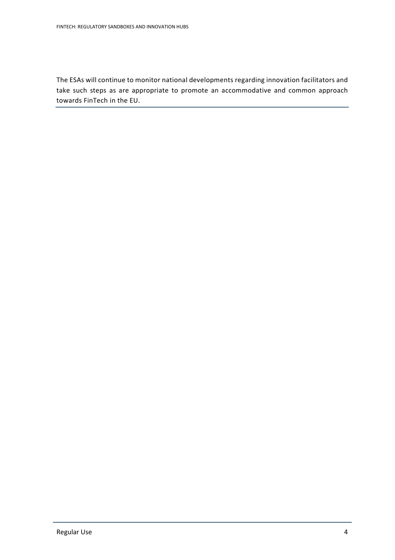The ESAs will continue to monitor national developments regarding innovation facilitators and take such steps as are appropriate to promote an accommodative and common approach towards FinTech in the EU.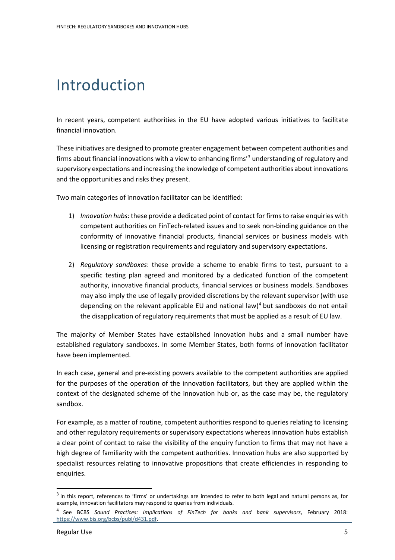# Introduction

In recent years, competent authorities in the EU have adopted various initiatives to facilitate financial innovation.

These initiatives are designed to promote greater engagement between competent authorities and firms about financial innovations with a view to enhancing firms' [3](#page-4-0) understanding of regulatory and supervisory expectations and increasing the knowledge of competent authorities about innovations and the opportunities and risks they present.

Two main categories of innovation facilitator can be identified:

- 1) *Innovation hubs*: these provide a dedicated point of contact for firms to raise enquiries with competent authorities on FinTech-related issues and to seek non-binding guidance on the conformity of innovative financial products, financial services or business models with licensing or registration requirements and regulatory and supervisory expectations.
- 2) *Regulatory sandboxes*: these provide a scheme to enable firms to test, pursuant to a specific testing plan agreed and monitored by a dedicated function of the competent authority, innovative financial products, financial services or business models. Sandboxes may also imply the use of legally provided discretions by the relevant supervisor (with use depending on the relevant applicable EU and national law)<sup>[4](#page-4-1)</sup> but sandboxes do not entail the disapplication of regulatory requirements that must be applied as a result of EU law.

The majority of Member States have established innovation hubs and a small number have established regulatory sandboxes. In some Member States, both forms of innovation facilitator have been implemented.

In each case, general and pre-existing powers available to the competent authorities are applied for the purposes of the operation of the innovation facilitators, but they are applied within the context of the designated scheme of the innovation hub or, as the case may be, the regulatory sandbox.

For example, as a matter of routine, competent authorities respond to queries relating to licensing and other regulatory requirements or supervisory expectations whereas innovation hubs establish a clear point of contact to raise the visibility of the enquiry function to firms that may not have a high degree of familiarity with the competent authorities. Innovation hubs are also supported by specialist resources relating to innovative propositions that create efficiencies in responding to enquiries.

<span id="page-4-0"></span><sup>&</sup>lt;sup>3</sup> In this report, references to 'firms' or undertakings are intended to refer to both legal and natural persons as, for example, innovation facilitators may respond to queries from individuals.

<span id="page-4-1"></span><sup>4</sup> See BCBS *Sound Practices: Implications of FinTech for banks and bank supervisors*, February 2018: [https://www.bis.org/bcbs/publ/d431.pdf.](https://www.bis.org/bcbs/publ/d431.pdf)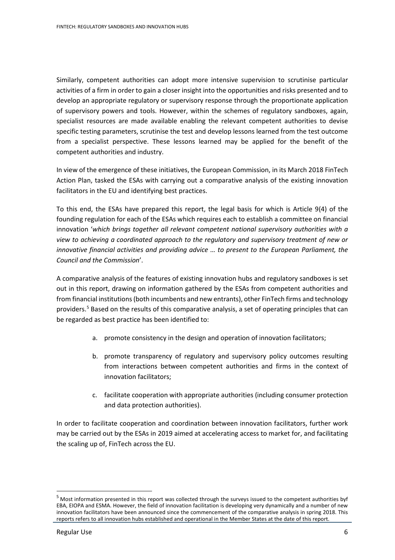Similarly, competent authorities can adopt more intensive supervision to scrutinise particular activities of a firm in order to gain a closer insight into the opportunities and risks presented and to develop an appropriate regulatory or supervisory response through the proportionate application of supervisory powers and tools. However, within the schemes of regulatory sandboxes, again, specialist resources are made available enabling the relevant competent authorities to devise specific testing parameters, scrutinise the test and develop lessons learned from the test outcome from a specialist perspective. These lessons learned may be applied for the benefit of the competent authorities and industry.

In view of the emergence of these initiatives, the European Commission, in its March 2018 FinTech Action Plan, tasked the ESAs with carrying out a comparative analysis of the existing innovation facilitators in the EU and identifying best practices.

To this end, the ESAs have prepared this report, the legal basis for which is Article 9(4) of the founding regulation for each of the ESAs which requires each to establish a committee on financial innovation '*which brings together all relevant competent national supervisory authorities with a view to achieving a coordinated approach to the regulatory and supervisory treatment of new or innovative financial activities and providing advice … to present to the European Parliament, the Council and the Commission*'.

A comparative analysis of the features of existing innovation hubs and regulatory sandboxes is set out in this report, drawing on information gathered by the ESAs from competent authorities and from financial institutions (both incumbents and new entrants), other FinTech firms and technology providers.<sup>[5](#page-5-0)</sup> Based on the results of this comparative analysis, a set of operating principles that can be regarded as best practice has been identified to:

- a. promote consistency in the design and operation of innovation facilitators;
- b. promote transparency of regulatory and supervisory policy outcomes resulting from interactions between competent authorities and firms in the context of innovation facilitators;
- c. facilitate cooperation with appropriate authorities (including consumer protection and data protection authorities).

In order to facilitate cooperation and coordination between innovation facilitators, further work may be carried out by the ESAs in 2019 aimed at accelerating access to market for, and facilitating the scaling up of, FinTech across the EU.

<span id="page-5-0"></span><sup>5</sup> Most information presented in this report was collected through the surveys issued to the competent authorities byf EBA, EIOPA and ESMA. However, the field of innovation facilitation is developing very dynamically and a number of new innovation facilitators have been announced since the commencement of the comparative analysis in spring 2018. This reports refers to all innovation hubs established and operational in the Member States at the date of this report.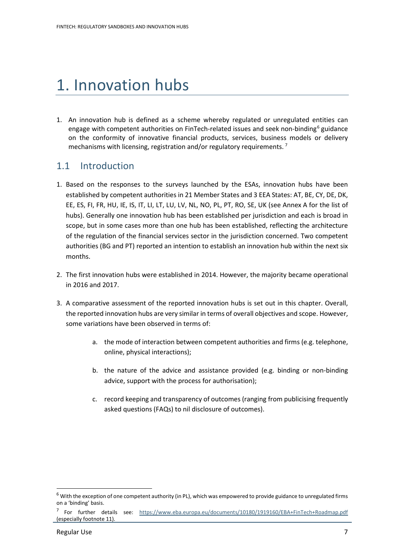# 1. Innovation hubs

1. An innovation hub is defined as a scheme whereby regulated or unregulated entities can engage with competent authorities on FinTech-related issues and seek non-binding<sup>[6](#page-6-0)</sup> guidance on the conformity of innovative financial products, services, business models or delivery mechanisms with licensing, registration and/or regulatory requirements.<sup>[7](#page-6-1)</sup>

# 1.1 Introduction

- 1. Based on the responses to the surveys launched by the ESAs, innovation hubs have been established by competent authorities in 21 Member States and 3 EEA States: AT, BE, CY, DE, DK, EE, ES, FI, FR, HU, IE, IS, IT, LI, LT, LU, LV, NL, NO, PL, PT, RO, SE, UK (see Annex A for the list of hubs). Generally one innovation hub has been established per jurisdiction and each is broad in scope, but in some cases more than one hub has been established, reflecting the architecture of the regulation of the financial services sector in the jurisdiction concerned. Two competent authorities (BG and PT) reported an intention to establish an innovation hub within the next six months.
- 2. The first innovation hubs were established in 2014. However, the majority became operational in 2016 and 2017.
- 3. A comparative assessment of the reported innovation hubs is set out in this chapter. Overall, the reported innovation hubs are very similar in terms of overall objectives and scope. However, some variations have been observed in terms of:
	- a. the mode of interaction between competent authorities and firms (e.g. telephone, online, physical interactions);
	- b. the nature of the advice and assistance provided (e.g. binding or non-binding advice, support with the process for authorisation);
	- c. record keeping and transparency of outcomes (ranging from publicising frequently asked questions (FAQs) to nil disclosure of outcomes).

<span id="page-6-0"></span> $6$  With the exception of one competent authority (in PL), which was empowered to provide guidance to unregulated firms on a 'binding' basis.

<span id="page-6-1"></span><sup>7</sup> For further details see: <https://www.eba.europa.eu/documents/10180/1919160/EBA+FinTech+Roadmap.pdf> (especially footnote 11).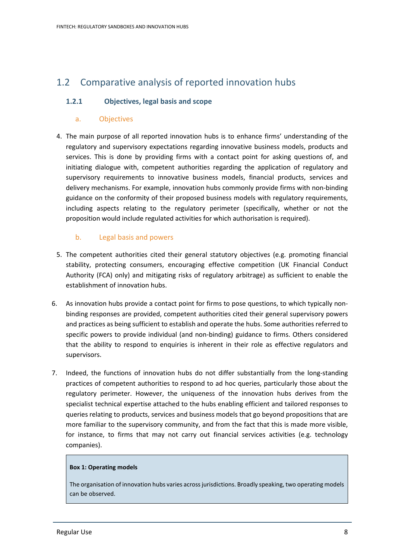# 1.2 Comparative analysis of reported innovation hubs

## **1.2.1 Objectives, legal basis and scope**

### a. Objectives

4. The main purpose of all reported innovation hubs is to enhance firms' understanding of the regulatory and supervisory expectations regarding innovative business models, products and services. This is done by providing firms with a contact point for asking questions of, and initiating dialogue with, competent authorities regarding the application of regulatory and supervisory requirements to innovative business models, financial products, services and delivery mechanisms. For example, innovation hubs commonly provide firms with non-binding guidance on the conformity of their proposed business models with regulatory requirements, including aspects relating to the regulatory perimeter (specifically, whether or not the proposition would include regulated activities for which authorisation is required).

# b. Legal basis and powers

- 5. The competent authorities cited their general statutory objectives (e.g. promoting financial stability, protecting consumers, encouraging effective competition (UK Financial Conduct Authority (FCA) only) and mitigating risks of regulatory arbitrage) as sufficient to enable the establishment of innovation hubs.
- 6. As innovation hubs provide a contact point for firms to pose questions, to which typically nonbinding responses are provided, competent authorities cited their general supervisory powers and practices as being sufficient to establish and operate the hubs. Some authorities referred to specific powers to provide individual (and non-binding) guidance to firms. Others considered that the ability to respond to enquiries is inherent in their role as effective regulators and supervisors.
- 7. Indeed, the functions of innovation hubs do not differ substantially from the long-standing practices of competent authorities to respond to ad hoc queries, particularly those about the regulatory perimeter. However, the uniqueness of the innovation hubs derives from the specialist technical expertise attached to the hubs enabling efficient and tailored responses to queries relating to products, services and business models that go beyond propositions that are more familiar to the supervisory community, and from the fact that this is made more visible, for instance, to firms that may not carry out financial services activities (e.g. technology companies).

#### **Box 1: Operating models**

The organisation of innovation hubs varies across jurisdictions. Broadly speaking, two operating models can be observed.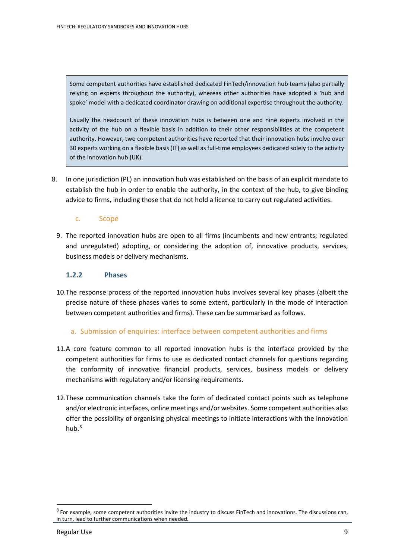Some competent authorities have established dedicated FinTech/innovation hub teams (also partially relying on experts throughout the authority), whereas other authorities have adopted a 'hub and spoke' model with a dedicated coordinator drawing on additional expertise throughout the authority.

Usually the headcount of these innovation hubs is between one and nine experts involved in the activity of the hub on a flexible basis in addition to their other responsibilities at the competent authority. However, two competent authorities have reported that their innovation hubs involve over 30 experts working on a flexible basis (IT) as well as full-time employees dedicated solely to the activity of the innovation hub (UK).

8. In one jurisdiction (PL) an innovation hub was established on the basis of an explicit mandate to establish the hub in order to enable the authority, in the context of the hub, to give binding advice to firms, including those that do not hold a licence to carry out regulated activities.

#### c. Scope

9. The reported innovation hubs are open to all firms (incumbents and new entrants; regulated and unregulated) adopting, or considering the adoption of, innovative products, services, business models or delivery mechanisms.

# **1.2.2 Phases**

10.The response process of the reported innovation hubs involves several key phases (albeit the precise nature of these phases varies to some extent, particularly in the mode of interaction between competent authorities and firms). These can be summarised as follows.

#### a. Submission of enquiries: interface between competent authorities and firms

- 11.A core feature common to all reported innovation hubs is the interface provided by the competent authorities for firms to use as dedicated contact channels for questions regarding the conformity of innovative financial products, services, business models or delivery mechanisms with regulatory and/or licensing requirements.
- 12.These communication channels take the form of dedicated contact points such as telephone and/or electronic interfaces, online meetings and/or websites. Some competent authorities also offer the possibility of organising physical meetings to initiate interactions with the innovation hub. $8$

<span id="page-8-0"></span> $8$  For example, some competent authorities invite the industry to discuss FinTech and innovations. The discussions can, in turn, lead to further communications when needed.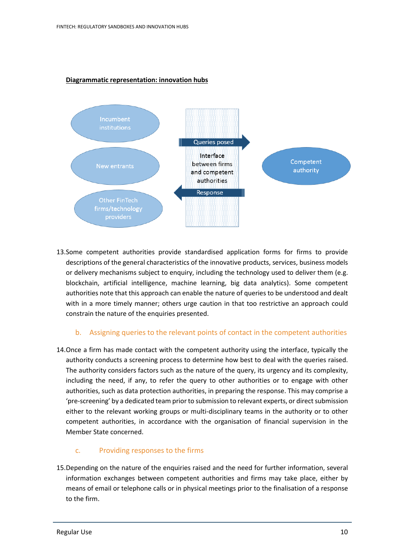## **Diagrammatic representation: innovation hubs**



13.Some competent authorities provide standardised application forms for firms to provide descriptions of the general characteristics of the innovative products, services, business models or delivery mechanisms subject to enquiry, including the technology used to deliver them (e.g. blockchain, artificial intelligence, machine learning, big data analytics). Some competent authorities note that this approach can enable the nature of queries to be understood and dealt with in a more timely manner; others urge caution in that too restrictive an approach could constrain the nature of the enquiries presented.

#### b. Assigning queries to the relevant points of contact in the competent authorities

14.Once a firm has made contact with the competent authority using the interface, typically the authority conducts a screening process to determine how best to deal with the queries raised. The authority considers factors such as the nature of the query, its urgency and its complexity, including the need, if any, to refer the query to other authorities or to engage with other authorities, such as data protection authorities, in preparing the response. This may comprise a 'pre-screening' by a dedicated team prior to submission to relevant experts, or direct submission either to the relevant working groups or multi-disciplinary teams in the authority or to other competent authorities, in accordance with the organisation of financial supervision in the Member State concerned.

# c. Providing responses to the firms

15.Depending on the nature of the enquiries raised and the need for further information, several information exchanges between competent authorities and firms may take place, either by means of email or telephone calls or in physical meetings prior to the finalisation of a response to the firm.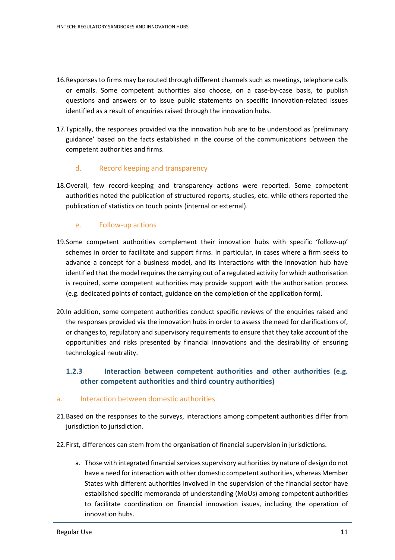- 16.Responses to firms may be routed through different channels such as meetings, telephone calls or emails. Some competent authorities also choose, on a case-by-case basis, to publish questions and answers or to issue public statements on specific innovation-related issues identified as a result of enquiries raised through the innovation hubs.
- 17.Typically, the responses provided via the innovation hub are to be understood as 'preliminary guidance' based on the facts established in the course of the communications between the competent authorities and firms.

## d. Record keeping and transparency

18.Overall, few record-keeping and transparency actions were reported. Some competent authorities noted the publication of structured reports, studies, etc. while others reported the publication of statistics on touch points (internal or external).

## e. Follow-up actions

- 19.Some competent authorities complement their innovation hubs with specific 'follow-up' schemes in order to facilitate and support firms. In particular, in cases where a firm seeks to advance a concept for a business model, and its interactions with the innovation hub have identified that the model requires the carrying out of a regulated activity for which authorisation is required, some competent authorities may provide support with the authorisation process (e.g. dedicated points of contact, guidance on the completion of the application form).
- 20.In addition, some competent authorities conduct specific reviews of the enquiries raised and the responses provided via the innovation hubs in order to assess the need for clarifications of, or changes to, regulatory and supervisory requirements to ensure that they take account of the opportunities and risks presented by financial innovations and the desirability of ensuring technological neutrality.

# **1.2.3 Interaction between competent authorities and other authorities (e.g. other competent authorities and third country authorities)**

#### a. Interaction between domestic authorities

- 21.Based on the responses to the surveys, interactions among competent authorities differ from jurisdiction to jurisdiction.
- 22.First, differences can stem from the organisation of financial supervision in jurisdictions.
	- a. Those with integrated financial services supervisory authorities by nature of design do not have a need for interaction with other domestic competent authorities, whereas Member States with different authorities involved in the supervision of the financial sector have established specific memoranda of understanding (MoUs) among competent authorities to facilitate coordination on financial innovation issues, including the operation of innovation hubs.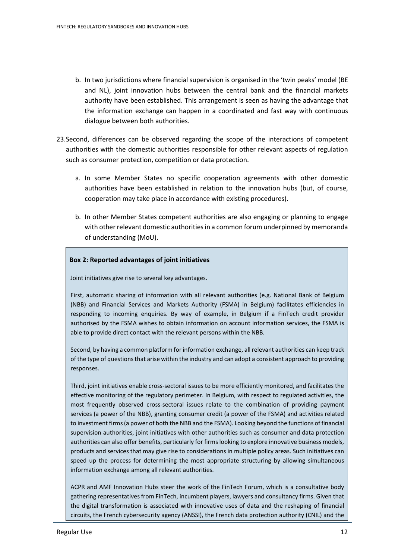- b. In two jurisdictions where financial supervision is organised in the 'twin peaks' model (BE and NL), joint innovation hubs between the central bank and the financial markets authority have been established. This arrangement is seen as having the advantage that the information exchange can happen in a coordinated and fast way with continuous dialogue between both authorities.
- 23.Second, differences can be observed regarding the scope of the interactions of competent authorities with the domestic authorities responsible for other relevant aspects of regulation such as consumer protection, competition or data protection.
	- a. In some Member States no specific cooperation agreements with other domestic authorities have been established in relation to the innovation hubs (but, of course, cooperation may take place in accordance with existing procedures).
	- b. In other Member States competent authorities are also engaging or planning to engage with other relevant domestic authorities in a common forum underpinned by memoranda of understanding (MoU).

#### **Box 2: Reported advantages of joint initiatives**

Joint initiatives give rise to several key advantages.

First, automatic sharing of information with all relevant authorities (e.g. National Bank of Belgium (NBB) and Financial Services and Markets Authority (FSMA) in Belgium) facilitates efficiencies in responding to incoming enquiries. By way of example, in Belgium if a FinTech credit provider authorised by the FSMA wishes to obtain information on account information services, the FSMA is able to provide direct contact with the relevant persons within the NBB.

Second, by having a common platform for information exchange, all relevant authorities can keep track of the type of questions that arise within the industry and can adopt a consistent approach to providing responses.

Third, joint initiatives enable cross-sectoral issues to be more efficiently monitored, and facilitates the effective monitoring of the regulatory perimeter. In Belgium, with respect to regulated activities, the most frequently observed cross-sectoral issues relate to the combination of providing payment services (a power of the NBB), granting consumer credit (a power of the FSMA) and activities related to investment firms (a power of both the NBB and the FSMA). Looking beyond the functions of financial supervision authorities, joint initiatives with other authorities such as consumer and data protection authorities can also offer benefits, particularly for firms looking to explore innovative business models, products and services that may give rise to considerations in multiple policy areas. Such initiatives can speed up the process for determining the most appropriate structuring by allowing simultaneous information exchange among all relevant authorities.

ACPR and AMF Innovation Hubs steer the work of the FinTech Forum, which is a consultative body gathering representatives from FinTech, incumbent players, lawyers and consultancy firms. Given that the digital transformation is associated with innovative uses of data and the reshaping of financial circuits, the French cybersecurity agency (ANSSI), the French data protection authority (CNIL) and the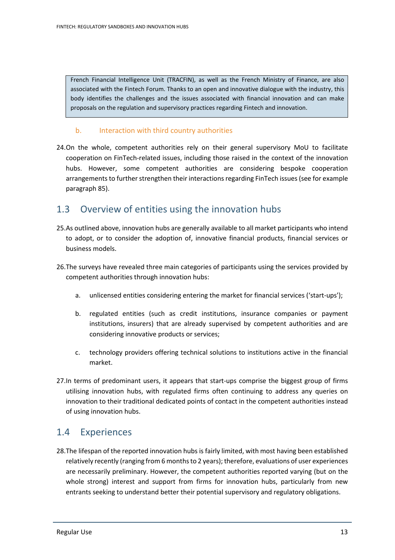French Financial Intelligence Unit (TRACFIN), as well as the French Ministry of Finance, are also associated with the Fintech Forum. Thanks to an open and innovative dialogue with the industry, this body identifies the challenges and the issues associated with financial innovation and can make proposals on the regulation and supervisory practices regarding Fintech and innovation.

#### b. Interaction with third country authorities

24.On the whole, competent authorities rely on their general supervisory MoU to facilitate cooperation on FinTech-related issues, including those raised in the context of the innovation hubs. However, some competent authorities are considering bespoke cooperation arrangements to further strengthen their interactions regarding FinTech issues(see for example paragraph 85).

# 1.3 Overview of entities using the innovation hubs

- 25.As outlined above, innovation hubs are generally available to all market participants who intend to adopt, or to consider the adoption of, innovative financial products, financial services or business models.
- 26.The surveys have revealed three main categories of participants using the services provided by competent authorities through innovation hubs:
	- a. unlicensed entities considering entering the market for financial services ('start-ups');
	- b. regulated entities (such as credit institutions, insurance companies or payment institutions, insurers) that are already supervised by competent authorities and are considering innovative products or services;
	- c. technology providers offering technical solutions to institutions active in the financial market.
- 27.In terms of predominant users, it appears that start-ups comprise the biggest group of firms utilising innovation hubs, with regulated firms often continuing to address any queries on innovation to their traditional dedicated points of contact in the competent authorities instead of using innovation hubs.

# 1.4 Experiences

28.The lifespan of the reported innovation hubs is fairly limited, with most having been established relatively recently (ranging from 6 months to 2 years); therefore, evaluations of user experiences are necessarily preliminary. However, the competent authorities reported varying (but on the whole strong) interest and support from firms for innovation hubs, particularly from new entrants seeking to understand better their potential supervisory and regulatory obligations.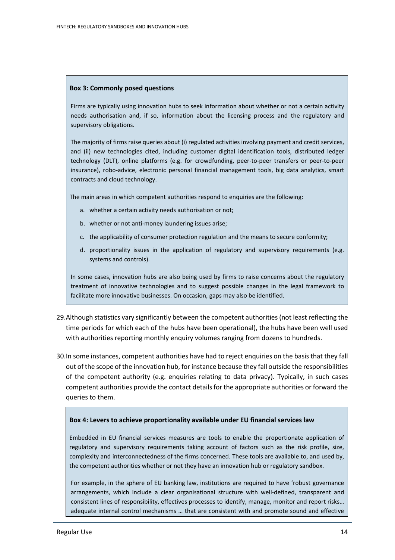#### **Box 3: Commonly posed questions**

Firms are typically using innovation hubs to seek information about whether or not a certain activity needs authorisation and, if so, information about the licensing process and the regulatory and supervisory obligations.

The majority of firms raise queries about (i) regulated activities involving payment and credit services, and (ii) new technologies cited, including customer digital identification tools, distributed ledger technology (DLT), online platforms (e.g. for crowdfunding, peer-to-peer transfers or peer-to-peer insurance), robo-advice, electronic personal financial management tools, big data analytics, smart contracts and cloud technology.

The main areas in which competent authorities respond to enquiries are the following:

- a. whether a certain activity needs authorisation or not;
- b. whether or not anti-money laundering issues arise;
- c. the applicability of consumer protection regulation and the means to secure conformity;
- d. proportionality issues in the application of regulatory and supervisory requirements (e.g. systems and controls).

In some cases, innovation hubs are also being used by firms to raise concerns about the regulatory treatment of innovative technologies and to suggest possible changes in the legal framework to facilitate more innovative businesses. On occasion, gaps may also be identified.

- 29.Although statistics vary significantly between the competent authorities (not least reflecting the time periods for which each of the hubs have been operational), the hubs have been well used with authorities reporting monthly enquiry volumes ranging from dozens to hundreds.
- 30.In some instances, competent authorities have had to reject enquiries on the basis that they fall out of the scope of the innovation hub, for instance because they fall outside the responsibilities of the competent authority (e.g. enquiries relating to data privacy). Typically, in such cases competent authorities provide the contact details for the appropriate authorities or forward the queries to them.

#### **Box 4: Levers to achieve proportionality available under EU financial services law**

Embedded in EU financial services measures are tools to enable the proportionate application of regulatory and supervisory requirements taking account of factors such as the risk profile, size, complexity and interconnectedness of the firms concerned. These tools are available to, and used by, the competent authorities whether or not they have an innovation hub or regulatory sandbox.

For example, in the sphere of EU banking law, institutions are required to have 'robust governance arrangements, which include a clear organisational structure with well-defined, transparent and consistent lines of responsibility, effectives processes to identify, manage, monitor and report risks… adequate internal control mechanisms … that are consistent with and promote sound and effective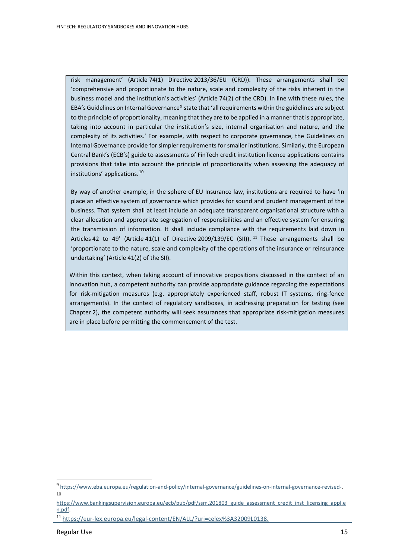risk management' (Article 74(1) Directive 2013/36/EU (CRD)). These arrangements shall be 'comprehensive and proportionate to the nature, scale and complexity of the risks inherent in the business model and the institution's activities' (Article 74(2) of the CRD). In line with these rules, the EBA's Guidelines on Internal Governance<sup>[9](#page-14-0)</sup> state that 'all requirements within the guidelines are subject to the principle of proportionality, meaning that they are to be applied in a manner that is appropriate, taking into account in particular the institution's size, internal organisation and nature, and the complexity of its activities.' For example, with respect to corporate governance, the Guidelines on Internal Governance provide for simpler requirements for smaller institutions. Similarly, the European Central Bank's (ECB's) guide to assessments of FinTech credit institution licence applications contains provisions that take into account the principle of proportionality when assessing the adequacy of institutions' applications. [10](#page-14-1)

By way of another example, in the sphere of EU Insurance law, institutions are required to have 'in place an effective system of governance which provides for sound and prudent management of the business. That system shall at least include an adequate transparent organisational structure with a clear allocation and appropriate segregation of responsibilities and an effective system for ensuring the transmission of information. It shall include compliance with the requirements laid down in Articles 42 to 49' (Article 41(1) of Directive 2009/139/EC (SII)). <sup>[11](#page-14-2)</sup> These arrangements shall be 'proportionate to the nature, scale and complexity of the operations of the insurance or reinsurance undertaking' (Article 41(2) of the SII).

Within this context, when taking account of innovative propositions discussed in the context of an innovation hub, a competent authority can provide appropriate guidance regarding the expectations for risk-mitigation measures (e.g. appropriately experienced staff, robust IT systems, ring-fence arrangements). In the context of regulatory sandboxes, in addressing preparation for testing (see Chapter 2), the competent authority will seek assurances that appropriate risk-mitigation measures are in place before permitting the commencement of the test.

<span id="page-14-0"></span><sup>9</sup> [https://www.eba.europa.eu/regulation-and-policy/internal-governance/guidelines-on-internal-governance-revised-.](https://www.eba.europa.eu/regulation-and-policy/internal-governance/guidelines-on-internal-governance-revised-)  10

<span id="page-14-1"></span>[https://www.bankingsupervision.europa.eu/ecb/pub/pdf/ssm.201803\\_guide\\_assessment\\_credit\\_inst\\_licensing\\_appl.e](https://www.bankingsupervision.europa.eu/ecb/pub/pdf/ssm.201803_guide_assessment_credit_inst_licensing_appl.en.pdf) [n.pdf.](https://www.bankingsupervision.europa.eu/ecb/pub/pdf/ssm.201803_guide_assessment_credit_inst_licensing_appl.en.pdf)

<span id="page-14-2"></span><sup>11</sup> [https://eur-lex.europa.eu/legal-content/EN/ALL/?uri=celex%3A32009L0138.](https://eur-lex.europa.eu/legal-content/EN/ALL/?uri=celex%3A32009L0138)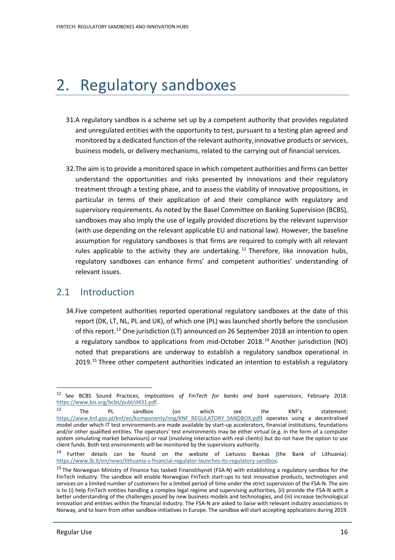# 2. Regulatory sandboxes

- 31.A regulatory sandbox is a scheme set up by a competent authority that provides regulated and unregulated entities with the opportunity to test, pursuant to a testing plan agreed and monitored by a dedicated function of the relevant authority,innovative products or services, business models, or delivery mechanisms, related to the carrying out of financial services.
- 32.The aim is to provide a monitored space in which competent authorities and firms can better understand the opportunities and risks presented by innovations and their regulatory treatment through a testing phase, and to assess the viability of innovative propositions, in particular in terms of their application of and their compliance with regulatory and supervisory requirements. As noted by the Basel Committee on Banking Supervision (BCBS), sandboxes may also imply the use of legally provided discretions by the relevant supervisor (with use depending on the relevant applicable EU and national law). However, the baseline assumption for regulatory sandboxes is that firms are required to comply with all relevant rules applicable to the activity they are undertaking.<sup>[12](#page-15-0)</sup> Therefore, like innovation hubs, regulatory sandboxes can enhance firms' and competent authorities' understanding of relevant issues.

# 2.1 Introduction

34.Five competent authorities reported operational regulatory sandboxes at the date of this report (DK, LT, NL, PL and UK), of which one (PL) was launched shortly before the conclusion of this report.<sup>[13](#page-15-1)</sup> One jurisdiction (LT) announced on 26 September 2018 an intention to open a regulatory sandbox to applications from mid-October 2018.[14](#page-15-2) Another jurisdiction (NO) noted that preparations are underway to establish a regulatory sandbox operational in 2019.<sup>[15](#page-15-3)</sup> Three other competent authorities indicated an intention to establish a regulatory

j

<span id="page-15-0"></span><sup>12</sup> See BCBS Sound Practices, *Implications of FinTech for banks and bank supervisors*, February 2018: [https://www.bis.org/bcbs/publ/d431.pdf.](https://www.bis.org/bcbs/publ/d431.pdf)

<span id="page-15-1"></span> $^{13}$  The PL sandbox (on which see the KNF's statement: [https://www.knf.gov.pl/knf/en/komponenty/img/KNF\\_REGULATORY\\_SANDBOX.pdf\)](https://www.knf.gov.pl/knf/en/komponenty/img/KNF_REGULATORY_SANDBOX.pdf) operates using a decentralised model under which IT test environments are made available by start-up accelerators, financial institutions, foundations and/or other qualified entities. The operators' test environments may be either virtual (e.g. in the form of a computer system simulating market behaviours) or real (involving interaction with real clients) but do not have the option to use client funds. Both test environments will be monitored by the supervisory authority.

<span id="page-15-2"></span><sup>&</sup>lt;sup>14</sup> Further details can be found on the website of Lietuvos Bankas (the Bank of Lithuania): [https://www.lb.lt/en/news/lithuania-s-financial-regulator-launches-its-regulatory-sandbox.](https://www.lb.lt/en/news/lithuania-s-financial-regulator-launches-its-regulatory-sandbox)

<span id="page-15-3"></span> $15$  The Norwegian Ministry of Finance has tasked Finanstilsynet (FSA-N) with establishing a regulatory sandbox for the FinTech industry. The sandbox will enable Norwegian FinTech start-ups to test innovative products, technologies and services on a limited number of customers for a limited period of time under the strict supervision of the FSA-N. The aim is to (i) help FinTech entities handling a complex legal regime and supervising authorities, (ii) provide the FSA-N with a better understanding of the challenges posed by new business models and technologies, and (iii) increase technological innovation and entities within the financial industry. The FSA-N are asked to liaise with relevant industry associations in Norway, and to learn from other sandbox-initiatives in Europe. The sandbox will start accepting applications during 2019.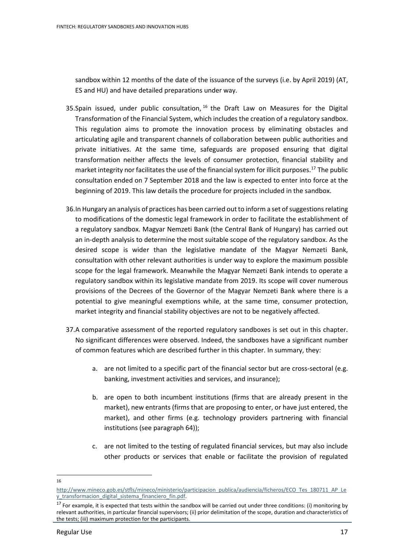sandbox within 12 months of the date of the issuance of the surveys (i.e. by April 2019) (AT, ES and HU) and have detailed preparations under way.

- 35.Spain issued, under public consultation,  $16$  the Draft Law on Measures for the Digital Transformation of the Financial System, which includes the creation of a regulatory sandbox. This regulation aims to promote the innovation process by eliminating obstacles and articulating agile and transparent channels of collaboration between public authorities and private initiatives. At the same time, safeguards are proposed ensuring that digital transformation neither affects the levels of consumer protection, financial stability and market integrity nor facilitates the use of the financial system for illicit purposes.<sup>[17](#page-16-1)</sup> The public consultation ended on 7 September 2018 and the law is expected to enter into force at the beginning of 2019. This law details the procedure for projects included in the sandbox.
- 36.In Hungary an analysis of practices has been carried out to inform a set of suggestions relating to modifications of the domestic legal framework in order to facilitate the establishment of a regulatory sandbox. Magyar Nemzeti Bank (the Central Bank of Hungary) has carried out an in-depth analysis to determine the most suitable scope of the regulatory sandbox. As the desired scope is wider than the legislative mandate of the Magyar Nemzeti Bank, consultation with other relevant authorities is under way to explore the maximum possible scope for the legal framework. Meanwhile the Magyar Nemzeti Bank intends to operate a regulatory sandbox within its legislative mandate from 2019. Its scope will cover numerous provisions of the Decrees of the Governor of the Magyar Nemzeti Bank where there is a potential to give meaningful exemptions while, at the same time, consumer protection, market integrity and financial stability objectives are not to be negatively affected.
- 37.A comparative assessment of the reported regulatory sandboxes is set out in this chapter. No significant differences were observed. Indeed, the sandboxes have a significant number of common features which are described further in this chapter. In summary, they:
	- a. are not limited to a specific part of the financial sector but are cross-sectoral (e.g. banking, investment activities and services, and insurance);
	- b. are open to both incumbent institutions (firms that are already present in the market), new entrants (firms that are proposing to enter, or have just entered, the market), and other firms (e.g. technology providers partnering with financial institutions (see paragraph 64));
	- c. are not limited to the testing of regulated financial services, but may also include other products or services that enable or facilitate the provision of regulated
- $\overline{a}$ 16

[http://www.mineco.gob.es/stfls/mineco/ministerio/participacion\\_publica/audiencia/ficheros/ECO\\_Tes\\_180711\\_AP\\_Le](http://www.mineco.gob.es/stfls/mineco/ministerio/participacion_publica/audiencia/ficheros/ECO_Tes_180711_AP_Ley_transformacion_digital_sistema_financiero_fin.pdf) [y\\_transformacion\\_digital\\_sistema\\_financiero\\_fin.pdf.](http://www.mineco.gob.es/stfls/mineco/ministerio/participacion_publica/audiencia/ficheros/ECO_Tes_180711_AP_Ley_transformacion_digital_sistema_financiero_fin.pdf)

<span id="page-16-1"></span><span id="page-16-0"></span> $17$  For example, it is expected that tests within the sandbox will be carried out under three conditions: (i) monitoring by relevant authorities, in particular financial supervisors; (ii) prior delimitation of the scope, duration and characteristics of the tests; (iii) maximum protection for the participants.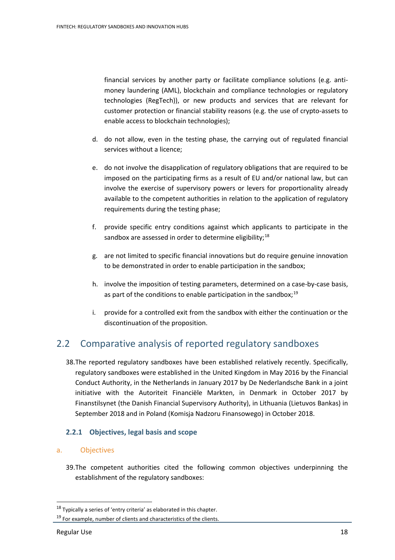financial services by another party or facilitate compliance solutions (e.g. antimoney laundering (AML), blockchain and compliance technologies or regulatory technologies (RegTech)), or new products and services that are relevant for customer protection or financial stability reasons (e.g. the use of crypto-assets to enable access to blockchain technologies);

- d. do not allow, even in the testing phase, the carrying out of regulated financial services without a licence;
- e. do not involve the disapplication of regulatory obligations that are required to be imposed on the participating firms as a result of EU and/or national law, but can involve the exercise of supervisory powers or levers for proportionality already available to the competent authorities in relation to the application of regulatory requirements during the testing phase;
- f. provide specific entry conditions against which applicants to participate in the sandbox are assessed in order to determine eligibility; $^{18}$  $^{18}$  $^{18}$
- g. are not limited to specific financial innovations but do require genuine innovation to be demonstrated in order to enable participation in the sandbox;
- h. involve the imposition of testing parameters, determined on a case-by-case basis, as part of the conditions to enable participation in the sandbox;<sup>[19](#page-17-1)</sup>
- i. provide for a controlled exit from the sandbox with either the continuation or the discontinuation of the proposition.

# 2.2 Comparative analysis of reported regulatory sandboxes

38.The reported regulatory sandboxes have been established relatively recently. Specifically, regulatory sandboxes were established in the United Kingdom in May 2016 by the Financial Conduct Authority, in the Netherlands in January 2017 by De Nederlandsche Bank in a joint initiative with the Autoriteit Financiële Markten, in Denmark in October 2017 by Finanstilsynet (the Danish Financial Supervisory Authority), in Lithuania (Lietuvos Bankas) in September 2018 and in Poland (Komisja Nadzoru Finansowego) in October 2018.

#### **2.2.1 Objectives, legal basis and scope**

#### a. Objectives

39.The competent authorities cited the following common objectives underpinning the establishment of the regulatory sandboxes:

j

<span id="page-17-0"></span> $18$  Typically a series of 'entry criteria' as elaborated in this chapter.

<span id="page-17-1"></span><sup>&</sup>lt;sup>19</sup> For example, number of clients and characteristics of the clients.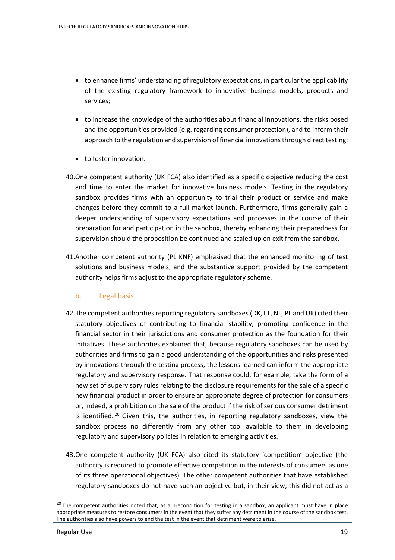- to enhance firms' understanding of regulatory expectations, in particular the applicability of the existing regulatory framework to innovative business models, products and services;
- to increase the knowledge of the authorities about financial innovations, the risks posed and the opportunities provided (e.g. regarding consumer protection), and to inform their approach to the regulation and supervision of financial innovations through direct testing;
- to foster innovation.
- 40.One competent authority (UK FCA) also identified as a specific objective reducing the cost and time to enter the market for innovative business models. Testing in the regulatory sandbox provides firms with an opportunity to trial their product or service and make changes before they commit to a full market launch. Furthermore, firms generally gain a deeper understanding of supervisory expectations and processes in the course of their preparation for and participation in the sandbox, thereby enhancing their preparedness for supervision should the proposition be continued and scaled up on exit from the sandbox.
- 41.Another competent authority (PL KNF) emphasised that the enhanced monitoring of test solutions and business models, and the substantive support provided by the competent authority helps firms adjust to the appropriate regulatory scheme.

#### b. Legal basis

- 42.The competent authorities reporting regulatory sandboxes (DK, LT, NL, PL and UK) cited their statutory objectives of contributing to financial stability, promoting confidence in the financial sector in their jurisdictions and consumer protection as the foundation for their initiatives. These authorities explained that, because regulatory sandboxes can be used by authorities and firms to gain a good understanding of the opportunities and risks presented by innovations through the testing process, the lessons learned can inform the appropriate regulatory and supervisory response. That response could, for example, take the form of a new set of supervisory rules relating to the disclosure requirements for the sale of a specific new financial product in order to ensure an appropriate degree of protection for consumers or, indeed, a prohibition on the sale of the product if the risk of serious consumer detriment is identified.<sup>[20](#page-18-0)</sup> Given this, the authorities, in reporting regulatory sandboxes, view the sandbox process no differently from any other tool available to them in developing regulatory and supervisory policies in relation to emerging activities.
- 43.One competent authority (UK FCA) also cited its statutory 'competition' objective (the authority is required to promote effective competition in the interests of consumers as one of its three operational objectives). The other competent authorities that have established regulatory sandboxes do not have such an objective but, in their view, this did not act as a

<span id="page-18-0"></span><sup>&</sup>lt;sup>20</sup> The competent authorities noted that, as a precondition for testing in a sandbox, an applicant must have in place appropriate measures to restore consumers in the event that they suffer any detriment in the course of the sandbox test. The authorities also have powers to end the test in the event that detriment were to arise.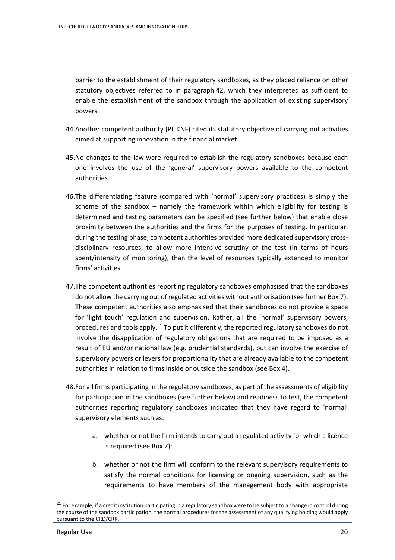barrier to the establishment of their regulatory sandboxes, as they placed reliance on other statutory objectives referred to in paragraph 42, which they interpreted as sufficient to enable the establishment of the sandbox through the application of existing supervisory powers.

- 44.Another competent authority (PL KNF) cited its statutory objective of carrying out activities aimed at supporting innovation in the financial market.
- 45.No changes to the law were required to establish the regulatory sandboxes because each one involves the use of the 'general' supervisory powers available to the competent authorities.
- 46.The differentiating feature (compared with 'normal' supervisory practices) is simply the scheme of the sandbox – namely the framework within which eligibility for testing is determined and testing parameters can be specified (see further below) that enable close proximity between the authorities and the firms for the purposes of testing. In particular, during the testing phase, competent authorities provided more dedicated supervisory crossdisciplinary resources, to allow more intensive scrutiny of the test (in terms of hours spent/intensity of monitoring), than the level of resources typically extended to monitor firms' activities.
- 47.The competent authorities reporting regulatory sandboxes emphasised that the sandboxes do not allow the carrying out of regulated activities without authorisation (see further Box 7). These competent authorities also emphasised that their sandboxes do not provide a space for 'light touch' regulation and supervision. Rather, all the 'normal' supervisory powers, procedures and tools apply.<sup>[21](#page-19-0)</sup> To put it differently, the reported regulatory sandboxes do not involve the disapplication of regulatory obligations that are required to be imposed as a result of EU and/or national law (e.g. prudential standards), but can involve the exercise of supervisory powers or levers for proportionality that are already available to the competent authorities in relation to firms inside or outside the sandbox (see Box 4).
- 48.For all firms participating in the regulatory sandboxes, as part of the assessments of eligibility for participation in the sandboxes (see further below) and readiness to test, the competent authorities reporting regulatory sandboxes indicated that they have regard to 'normal' supervisory elements such as:
	- a. whether or not the firm intends to carry out a regulated activity for which a licence is required (see Box 7);
	- b. whether or not the firm will conform to the relevant supervisory requirements to satisfy the normal conditions for licensing or ongoing supervision, such as the requirements to have members of the management body with appropriate

<span id="page-19-0"></span><sup>&</sup>lt;sup>21</sup> For example, if a credit institution participating in a regulatory sandbox were to be subject to a change in control during the course of the sandbox participation, the normal procedures for the assessment of any qualifying holding would apply pursuant to the CRD/CRR.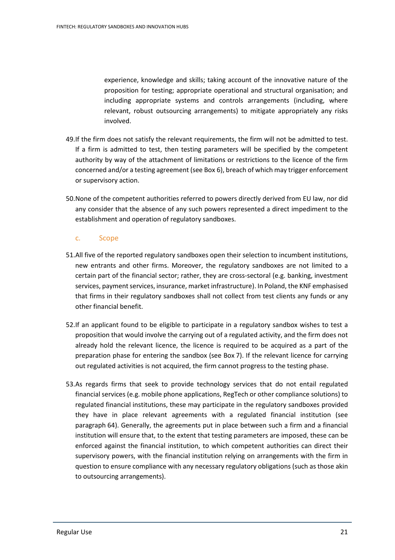experience, knowledge and skills; taking account of the innovative nature of the proposition for testing; appropriate operational and structural organisation; and including appropriate systems and controls arrangements (including, where relevant, robust outsourcing arrangements) to mitigate appropriately any risks involved.

- 49.If the firm does not satisfy the relevant requirements, the firm will not be admitted to test. If a firm is admitted to test, then testing parameters will be specified by the competent authority by way of the attachment of limitations or restrictions to the licence of the firm concerned and/or a testing agreement (see Box 6), breach of which may trigger enforcement or supervisory action.
- 50.None of the competent authorities referred to powers directly derived from EU law, nor did any consider that the absence of any such powers represented a direct impediment to the establishment and operation of regulatory sandboxes.

#### c. Scope

- 51.All five of the reported regulatory sandboxes open their selection to incumbent institutions, new entrants and other firms. Moreover, the regulatory sandboxes are not limited to a certain part of the financial sector; rather, they are cross-sectoral (e.g. banking, investment services, payment services, insurance, market infrastructure). In Poland, the KNF emphasised that firms in their regulatory sandboxes shall not collect from test clients any funds or any other financial benefit.
- 52.If an applicant found to be eligible to participate in a regulatory sandbox wishes to test a proposition that would involve the carrying out of a regulated activity, and the firm does not already hold the relevant licence, the licence is required to be acquired as a part of the preparation phase for entering the sandbox (see Box 7). If the relevant licence for carrying out regulated activities is not acquired, the firm cannot progress to the testing phase.
- 53.As regards firms that seek to provide technology services that do not entail regulated financial services (e.g. mobile phone applications, RegTech or other compliance solutions) to regulated financial institutions, these may participate in the regulatory sandboxes provided they have in place relevant agreements with a regulated financial institution (see paragraph 64). Generally, the agreements put in place between such a firm and a financial institution will ensure that, to the extent that testing parameters are imposed, these can be enforced against the financial institution, to which competent authorities can direct their supervisory powers, with the financial institution relying on arrangements with the firm in question to ensure compliance with any necessary regulatory obligations (such as those akin to outsourcing arrangements).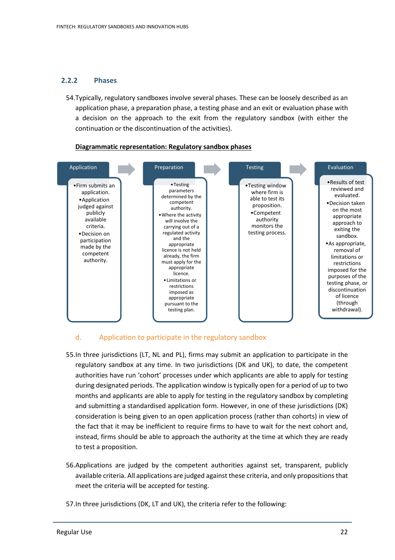#### **2.2.2 Phases**

54.Typically, regulatory sandboxes involve several phases. These can be loosely described as an application phase, a preparation phase, a testing phase and an exit or evaluation phase with a decision on the approach to the exit from the regulatory sandbox (with either the continuation or the discontinuation of the activities).



#### **Diagrammatic representation: Regulatory sandbox phases**

#### d. Application to participate in the regulatory sandbox

- 55.In three jurisdictions (LT, NL and PL), firms may submit an application to participate in the regulatory sandbox at any time. In two jurisdictions (DK and UK), to date, the competent authorities have run 'cohort' processes under which applicants are able to apply for testing during designated periods. The application window is typically open for a period of up to two months and applicants are able to apply for testing in the regulatory sandbox by completing and submitting a standardised application form. However, in one of these jurisdictions (DK) consideration is being given to an open application process (rather than cohorts) in view of the fact that it may be inefficient to require firms to have to wait for the next cohort and, instead, firms should be able to approach the authority at the time at which they are ready to test a proposition.
- 56.Applications are judged by the competent authorities against set, transparent, publicly available criteria. All applications are judged against these criteria, and only propositions that meet the criteria will be accepted for testing.
- 57.In three jurisdictions (DK, LT and UK), the criteria refer to the following: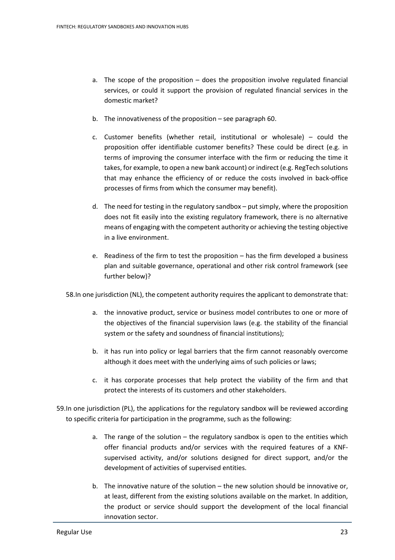- a. The scope of the proposition does the proposition involve regulated financial services, or could it support the provision of regulated financial services in the domestic market?
- b. The innovativeness of the proposition see paragraph 60.
- c. Customer benefits (whether retail, institutional or wholesale) could the proposition offer identifiable customer benefits? These could be direct (e.g. in terms of improving the consumer interface with the firm or reducing the time it takes, for example, to open a new bank account) or indirect (e.g. RegTech solutions that may enhance the efficiency of or reduce the costs involved in back-office processes of firms from which the consumer may benefit).
- d. The need for testing in the regulatory sandbox put simply, where the proposition does not fit easily into the existing regulatory framework, there is no alternative means of engaging with the competent authority or achieving the testing objective in a live environment.
- e. Readiness of the firm to test the proposition has the firm developed a business plan and suitable governance, operational and other risk control framework (see further below)?

58.In one jurisdiction (NL), the competent authority requires the applicant to demonstrate that:

- a. the innovative product, service or business model contributes to one or more of the objectives of the financial supervision laws (e.g. the stability of the financial system or the safety and soundness of financial institutions);
- b. it has run into policy or legal barriers that the firm cannot reasonably overcome although it does meet with the underlying aims of such policies or laws;
- c. it has corporate processes that help protect the viability of the firm and that protect the interests of its customers and other stakeholders.
- 59.In one jurisdiction (PL), the applications for the regulatory sandbox will be reviewed according to specific criteria for participation in the programme, such as the following:
	- a. The range of the solution the regulatory sandbox is open to the entities which offer financial products and/or services with the required features of a KNFsupervised activity, and/or solutions designed for direct support, and/or the development of activities of supervised entities.
	- b. The innovative nature of the solution the new solution should be innovative or, at least, different from the existing solutions available on the market. In addition, the product or service should support the development of the local financial innovation sector.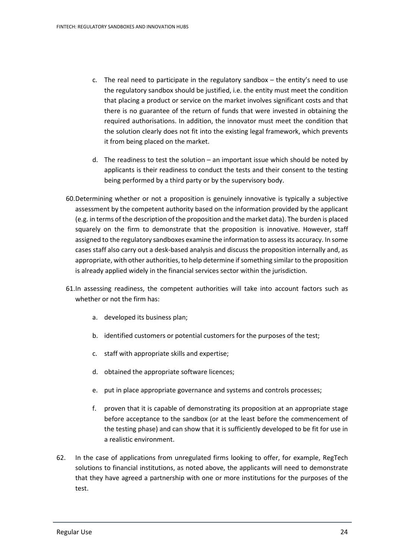- c. The real need to participate in the regulatory sandbox the entity's need to use the regulatory sandbox should be justified, i.e. the entity must meet the condition that placing a product or service on the market involves significant costs and that there is no guarantee of the return of funds that were invested in obtaining the required authorisations. In addition, the innovator must meet the condition that the solution clearly does not fit into the existing legal framework, which prevents it from being placed on the market.
- d. The readiness to test the solution  $-$  an important issue which should be noted by applicants is their readiness to conduct the tests and their consent to the testing being performed by a third party or by the supervisory body.
- 60.Determining whether or not a proposition is genuinely innovative is typically a subjective assessment by the competent authority based on the information provided by the applicant (e.g. in terms of the description of the proposition and the market data). The burden is placed squarely on the firm to demonstrate that the proposition is innovative. However, staff assigned to the regulatory sandboxes examine the information to assess its accuracy. In some cases staff also carry out a desk-based analysis and discuss the proposition internally and, as appropriate, with other authorities, to help determine if something similar to the proposition is already applied widely in the financial services sector within the jurisdiction.
- 61.In assessing readiness, the competent authorities will take into account factors such as whether or not the firm has:
	- a. developed its business plan;
	- b. identified customers or potential customers for the purposes of the test;
	- c. staff with appropriate skills and expertise;
	- d. obtained the appropriate software licences;
	- e. put in place appropriate governance and systems and controls processes;
	- f. proven that it is capable of demonstrating its proposition at an appropriate stage before acceptance to the sandbox (or at the least before the commencement of the testing phase) and can show that it is sufficiently developed to be fit for use in a realistic environment.
- 62. In the case of applications from unregulated firms looking to offer, for example, RegTech solutions to financial institutions, as noted above, the applicants will need to demonstrate that they have agreed a partnership with one or more institutions for the purposes of the test.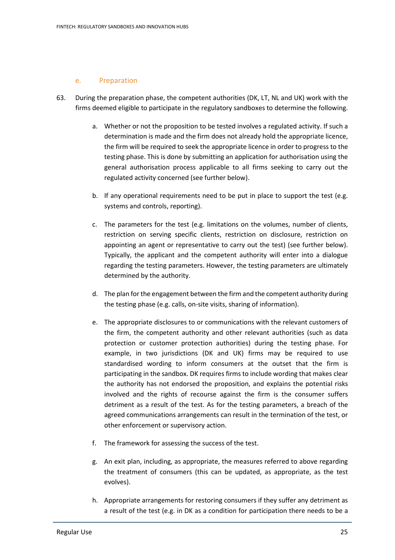#### e. Preparation

- 63. During the preparation phase, the competent authorities (DK, LT, NL and UK) work with the firms deemed eligible to participate in the regulatory sandboxes to determine the following.
	- a. Whether or not the proposition to be tested involves a regulated activity. If such a determination is made and the firm does not already hold the appropriate licence, the firm will be required to seek the appropriate licence in order to progress to the testing phase. This is done by submitting an application for authorisation using the general authorisation process applicable to all firms seeking to carry out the regulated activity concerned (see further below).
	- b. If any operational requirements need to be put in place to support the test (e.g. systems and controls, reporting).
	- c. The parameters for the test (e.g. limitations on the volumes, number of clients, restriction on serving specific clients, restriction on disclosure, restriction on appointing an agent or representative to carry out the test) (see further below). Typically, the applicant and the competent authority will enter into a dialogue regarding the testing parameters. However, the testing parameters are ultimately determined by the authority.
	- d. The plan for the engagement between the firm and the competent authority during the testing phase (e.g. calls, on-site visits, sharing of information).
	- e. The appropriate disclosures to or communications with the relevant customers of the firm, the competent authority and other relevant authorities (such as data protection or customer protection authorities) during the testing phase. For example, in two jurisdictions (DK and UK) firms may be required to use standardised wording to inform consumers at the outset that the firm is participating in the sandbox. DK requires firms to include wording that makes clear the authority has not endorsed the proposition, and explains the potential risks involved and the rights of recourse against the firm is the consumer suffers detriment as a result of the test. As for the testing parameters, a breach of the agreed communications arrangements can result in the termination of the test, or other enforcement or supervisory action.
	- f. The framework for assessing the success of the test.
	- g. An exit plan, including, as appropriate, the measures referred to above regarding the treatment of consumers (this can be updated, as appropriate, as the test evolves).
	- h. Appropriate arrangements for restoring consumers if they suffer any detriment as a result of the test (e.g. in DK as a condition for participation there needs to be a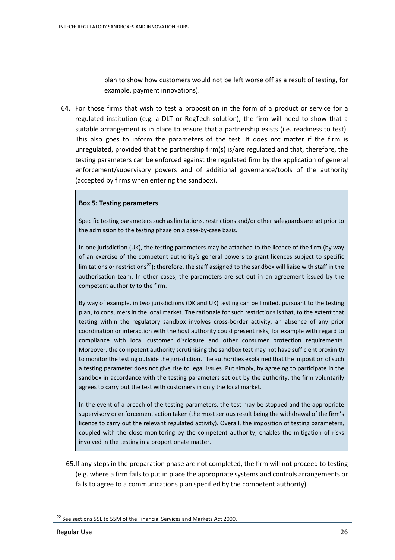plan to show how customers would not be left worse off as a result of testing, for example, payment innovations).

64. For those firms that wish to test a proposition in the form of a product or service for a regulated institution (e.g. a DLT or RegTech solution), the firm will need to show that a suitable arrangement is in place to ensure that a partnership exists (i.e. readiness to test). This also goes to inform the parameters of the test. It does not matter if the firm is unregulated, provided that the partnership firm(s) is/are regulated and that, therefore, the testing parameters can be enforced against the regulated firm by the application of general enforcement/supervisory powers and of additional governance/tools of the authority (accepted by firms when entering the sandbox).

#### **Box 5: Testing parameters**

Specific testing parameters such as limitations, restrictions and/or other safeguards are set prior to the admission to the testing phase on a case-by-case basis.

In one jurisdiction (UK), the testing parameters may be attached to the licence of the firm (by way of an exercise of the competent authority's general powers to grant licences subject to specific limitations or restrictions<sup>[22](#page-25-0)</sup>); therefore, the staff assigned to the sandbox will liaise with staff in the authorisation team. In other cases, the parameters are set out in an agreement issued by the competent authority to the firm.

By way of example, in two jurisdictions (DK and UK) testing can be limited, pursuant to the testing plan, to consumers in the local market. The rationale for such restrictions is that, to the extent that testing within the regulatory sandbox involves cross-border activity, an absence of any prior coordination or interaction with the host authority could present risks, for example with regard to compliance with local customer disclosure and other consumer protection requirements. Moreover, the competent authority scrutinising the sandbox test may not have sufficient proximity to monitor the testing outside the jurisdiction. The authorities explained that the imposition of such a testing parameter does not give rise to legal issues. Put simply, by agreeing to participate in the sandbox in accordance with the testing parameters set out by the authority, the firm voluntarily agrees to carry out the test with customers in only the local market.

In the event of a breach of the testing parameters, the test may be stopped and the appropriate supervisory or enforcement action taken (the most serious result being the withdrawal of the firm's licence to carry out the relevant regulated activity). Overall, the imposition of testing parameters, coupled with the close monitoring by the competent authority, enables the mitigation of risks involved in the testing in a proportionate matter.

65.If any steps in the preparation phase are not completed, the firm will not proceed to testing (e.g. where a firm fails to put in place the appropriate systems and controls arrangements or fails to agree to a communications plan specified by the competent authority).

<span id="page-25-0"></span><sup>&</sup>lt;sup>22</sup> See sections 55L to 55M of the Financial Services and Markets Act 2000.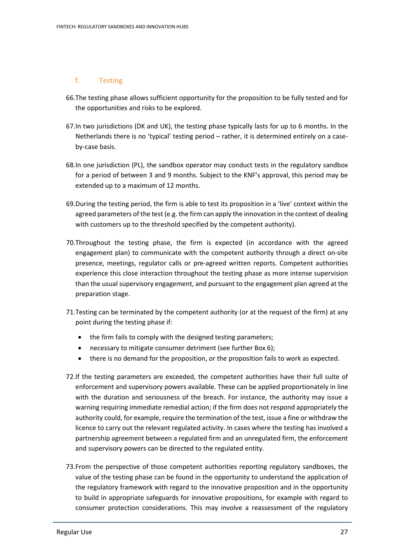## f. Testing

- 66.The testing phase allows sufficient opportunity for the proposition to be fully tested and for the opportunities and risks to be explored.
- 67.In two jurisdictions (DK and UK), the testing phase typically lasts for up to 6 months. In the Netherlands there is no 'typical' testing period – rather, it is determined entirely on a caseby-case basis.
- 68.In one jurisdiction (PL), the sandbox operator may conduct tests in the regulatory sandbox for a period of between 3 and 9 months. Subject to the KNF's approval, this period may be extended up to a maximum of 12 months.
- 69.During the testing period, the firm is able to test its proposition in a 'live' context within the agreed parameters of the test (e.g. the firm can apply the innovation in the context of dealing with customers up to the threshold specified by the competent authority).
- 70.Throughout the testing phase, the firm is expected (in accordance with the agreed engagement plan) to communicate with the competent authority through a direct on-site presence, meetings, regulator calls or pre-agreed written reports. Competent authorities experience this close interaction throughout the testing phase as more intense supervision than the usual supervisory engagement, and pursuant to the engagement plan agreed at the preparation stage.
- 71.Testing can be terminated by the competent authority (or at the request of the firm) at any point during the testing phase if:
	- the firm fails to comply with the designed testing parameters;
	- necessary to mitigate consumer detriment (see further Box 6);
	- there is no demand for the proposition, or the proposition fails to work as expected.
- 72.If the testing parameters are exceeded, the competent authorities have their full suite of enforcement and supervisory powers available. These can be applied proportionately in line with the duration and seriousness of the breach. For instance, the authority may issue a warning requiring immediate remedial action; if the firm does not respond appropriately the authority could, for example, require the termination of the test, issue a fine or withdraw the licence to carry out the relevant regulated activity. In cases where the testing has involved a partnership agreement between a regulated firm and an unregulated firm, the enforcement and supervisory powers can be directed to the regulated entity.
- 73.From the perspective of those competent authorities reporting regulatory sandboxes, the value of the testing phase can be found in the opportunity to understand the application of the regulatory framework with regard to the innovative proposition and in the opportunity to build in appropriate safeguards for innovative propositions, for example with regard to consumer protection considerations. This may involve a reassessment of the regulatory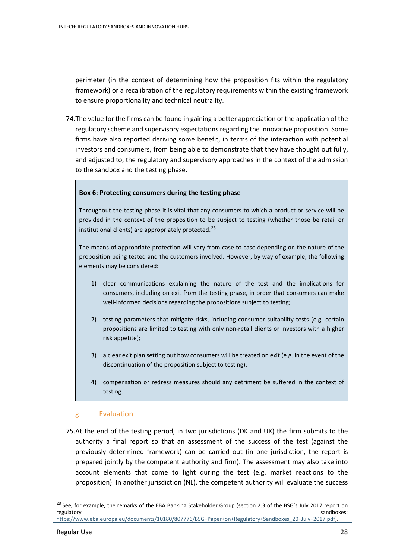perimeter (in the context of determining how the proposition fits within the regulatory framework) or a recalibration of the regulatory requirements within the existing framework to ensure proportionality and technical neutrality.

74.The value for the firms can be found in gaining a better appreciation of the application of the regulatory scheme and supervisory expectations regarding the innovative proposition. Some firms have also reported deriving some benefit, in terms of the interaction with potential investors and consumers, from being able to demonstrate that they have thought out fully, and adjusted to, the regulatory and supervisory approaches in the context of the admission to the sandbox and the testing phase.

#### **Box 6: Protecting consumers during the testing phase**

Throughout the testing phase it is vital that any consumers to which a product or service will be provided in the context of the proposition to be subject to testing (whether those be retail or institutional clients) are appropriately protected. [23](#page-27-0)

The means of appropriate protection will vary from case to case depending on the nature of the proposition being tested and the customers involved. However, by way of example, the following elements may be considered:

- 1) clear communications explaining the nature of the test and the implications for consumers, including on exit from the testing phase, in order that consumers can make well-informed decisions regarding the propositions subject to testing;
- 2) testing parameters that mitigate risks, including consumer suitability tests (e.g. certain propositions are limited to testing with only non-retail clients or investors with a higher risk appetite);
- 3) a clear exit plan setting out how consumers will be treated on exit (e.g. in the event of the discontinuation of the proposition subject to testing);
- 4) compensation or redress measures should any detriment be suffered in the context of testing.

#### g. Evaluation

75.At the end of the testing period, in two jurisdictions (DK and UK) the firm submits to the authority a final report so that an assessment of the success of the test (against the previously determined framework) can be carried out (in one jurisdiction, the report is prepared jointly by the competent authority and firm). The assessment may also take into account elements that come to light during the test (e.g. market reactions to the proposition). In another jurisdiction (NL), the competent authority will evaluate the success

<span id="page-27-0"></span><sup>&</sup>lt;sup>23</sup> See, for example, the remarks of the EBA Banking Stakeholder Group (section 2.3 of the BSG's July 2017 report on regulatory regulatory sandboxes: [https://www.eba.europa.eu/documents/10180/807776/BSG+Paper+on+Regulatory+Sandboxes\\_20+July+2017.pdf\)](https://www.eba.europa.eu/documents/10180/807776/BSG+Paper+on+Regulatory+Sandboxes_20+July+2017.pdf).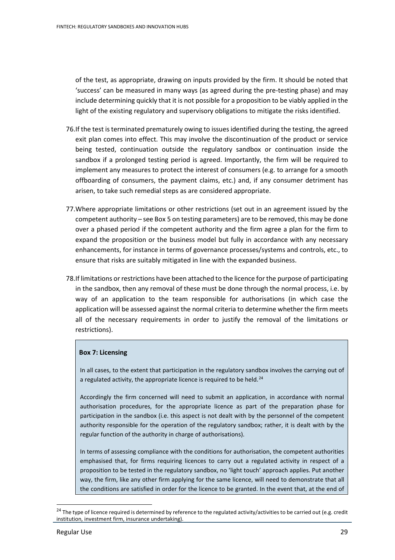of the test, as appropriate, drawing on inputs provided by the firm. It should be noted that 'success' can be measured in many ways (as agreed during the pre-testing phase) and may include determining quickly that it is not possible for a proposition to be viably applied in the light of the existing regulatory and supervisory obligations to mitigate the risks identified.

- 76.If the test is terminated prematurely owing to issues identified during the testing, the agreed exit plan comes into effect. This may involve the discontinuation of the product or service being tested, continuation outside the regulatory sandbox or continuation inside the sandbox if a prolonged testing period is agreed. Importantly, the firm will be required to implement any measures to protect the interest of consumers (e.g. to arrange for a smooth offboarding of consumers, the payment claims, etc.) and, if any consumer detriment has arisen, to take such remedial steps as are considered appropriate.
- 77.Where appropriate limitations or other restrictions (set out in an agreement issued by the competent authority – see Box 5 on testing parameters) are to be removed, this may be done over a phased period if the competent authority and the firm agree a plan for the firm to expand the proposition or the business model but fully in accordance with any necessary enhancements, for instance in terms of governance processes/systems and controls, etc., to ensure that risks are suitably mitigated in line with the expanded business.
- 78.If limitations or restrictions have been attached to the licence for the purpose of participating in the sandbox, then any removal of these must be done through the normal process, i.e. by way of an application to the team responsible for authorisations (in which case the application will be assessed against the normal criteria to determine whether the firm meets all of the necessary requirements in order to justify the removal of the limitations or restrictions).

#### **Box 7: Licensing**

In all cases, to the extent that participation in the regulatory sandbox involves the carrying out of a regulated activity, the appropriate licence is required to be held.<sup>[24](#page-28-0)</sup>

Accordingly the firm concerned will need to submit an application, in accordance with normal authorisation procedures, for the appropriate licence as part of the preparation phase for participation in the sandbox (i.e. this aspect is not dealt with by the personnel of the competent authority responsible for the operation of the regulatory sandbox; rather, it is dealt with by the regular function of the authority in charge of authorisations).

In terms of assessing compliance with the conditions for authorisation, the competent authorities emphasised that, for firms requiring licences to carry out a regulated activity in respect of a proposition to be tested in the regulatory sandbox, no 'light touch' approach applies. Put another way, the firm, like any other firm applying for the same licence, will need to demonstrate that all the conditions are satisfied in order for the licence to be granted. In the event that, at the end of

<span id="page-28-0"></span><sup>&</sup>lt;sup>24</sup> The type of licence required is determined by reference to the regulated activity/activities to be carried out (e.g. credit institution, investment firm, insurance undertaking).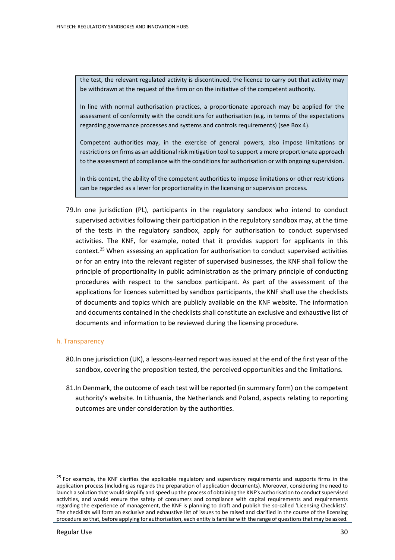the test, the relevant regulated activity is discontinued, the licence to carry out that activity may be withdrawn at the request of the firm or on the initiative of the competent authority.

In line with normal authorisation practices, a proportionate approach may be applied for the assessment of conformity with the conditions for authorisation (e.g. in terms of the expectations regarding governance processes and systems and controls requirements) (see Box 4).

Competent authorities may, in the exercise of general powers, also impose limitations or restrictions on firms as an additional risk mitigation tool to support a more proportionate approach to the assessment of compliance with the conditions for authorisation or with ongoing supervision.

In this context, the ability of the competent authorities to impose limitations or other restrictions can be regarded as a lever for proportionality in the licensing or supervision process.

79.In one jurisdiction (PL), participants in the regulatory sandbox who intend to conduct supervised activities following their participation in the regulatory sandbox may, at the time of the tests in the regulatory sandbox, apply for authorisation to conduct supervised activities. The KNF, for example, noted that it provides support for applicants in this context.<sup>[25](#page-29-0)</sup> When assessing an application for authorisation to conduct supervised activities or for an entry into the relevant register of supervised businesses, the KNF shall follow the principle of proportionality in public administration as the primary principle of conducting procedures with respect to the sandbox participant. As part of the assessment of the applications for licences submitted by sandbox participants, the KNF shall use the checklists of documents and topics which are publicly available on the KNF website. The information and documents contained in the checklists shall constitute an exclusive and exhaustive list of documents and information to be reviewed during the licensing procedure.

#### h. Transparency

- 80.In one jurisdiction (UK), a lessons-learned report was issued at the end of the first year of the sandbox, covering the proposition tested, the perceived opportunities and the limitations.
- 81.In Denmark, the outcome of each test will be reported (in summary form) on the competent authority's website. In Lithuania, the Netherlands and Poland, aspects relating to reporting outcomes are under consideration by the authorities.

<span id="page-29-0"></span><sup>&</sup>lt;sup>25</sup> For example, the KNF clarifies the applicable regulatory and supervisory requirements and supports firms in the application process (including as regards the preparation of application documents). Moreover, considering the need to launch a solution that would simplify and speed up the process of obtaining the KNF's authorisation to conduct supervised activities, and would ensure the safety of consumers and compliance with capital requirements and requirements regarding the experience of management, the KNF is planning to draft and publish the so-called 'Licensing Checklists'. The checklists will form an exclusive and exhaustive list of issues to be raised and clarified in the course of the licensing procedure so that, before applying for authorisation, each entity is familiar with the range of questions that may be asked.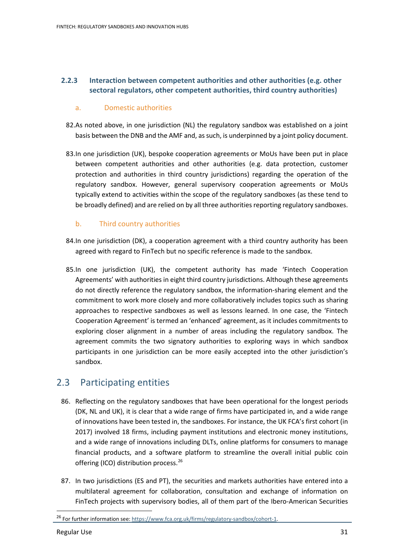# **2.2.3 Interaction between competent authorities and other authorities (e.g. other sectoral regulators, other competent authorities, third country authorities)**

### a. Domestic authorities

- 82.As noted above, in one jurisdiction (NL) the regulatory sandbox was established on a joint basis between the DNB and the AMF and, as such, is underpinned by a joint policy document.
- 83.In one jurisdiction (UK), bespoke cooperation agreements or MoUs have been put in place between competent authorities and other authorities (e.g. data protection, customer protection and authorities in third country jurisdictions) regarding the operation of the regulatory sandbox. However, general supervisory cooperation agreements or MoUs typically extend to activities within the scope of the regulatory sandboxes (as these tend to be broadly defined) and are relied on by all three authorities reporting regulatory sandboxes.

# b. Third country authorities

- 84.In one jurisdiction (DK), a cooperation agreement with a third country authority has been agreed with regard to FinTech but no specific reference is made to the sandbox.
- 85.In one jurisdiction (UK), the competent authority has made 'Fintech Cooperation Agreements' with authorities in eight third country jurisdictions. Although these agreements do not directly reference the regulatory sandbox, the information-sharing element and the commitment to work more closely and more collaboratively includes topics such as sharing approaches to respective sandboxes as well as lessons learned. In one case, the 'Fintech Cooperation Agreement' is termed an 'enhanced' agreement, as it includes commitments to exploring closer alignment in a number of areas including the regulatory sandbox. The agreement commits the two signatory authorities to exploring ways in which sandbox participants in one jurisdiction can be more easily accepted into the other jurisdiction's sandbox.

# 2.3 Participating entities

- 86. Reflecting on the regulatory sandboxes that have been operational for the longest periods (DK, NL and UK), it is clear that a wide range of firms have participated in, and a wide range of innovations have been tested in, the sandboxes. For instance, the UK FCA's first cohort (in 2017) involved 18 firms, including payment institutions and electronic money institutions, and a wide range of innovations including DLTs, online platforms for consumers to manage financial products, and a software platform to streamline the overall initial public coin offering (ICO) distribution process.[26](#page-30-0)
- 87. In two jurisdictions (ES and PT), the securities and markets authorities have entered into a multilateral agreement for collaboration, consultation and exchange of information on FinTech projects with supervisory bodies, all of them part of the Ibero-American Securities

<span id="page-30-0"></span><sup>26</sup> For further information see[: https://www.fca.org.uk/firms/regulatory-sandbox/cohort-1.](https://www.fca.org.uk/firms/regulatory-sandbox/cohort-1)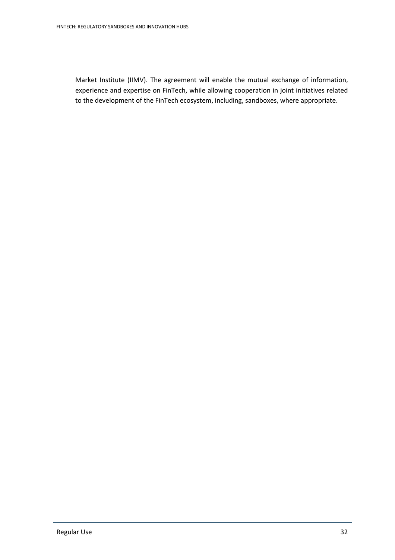Market Institute (IIMV). The agreement will enable the mutual exchange of information, experience and expertise on FinTech, while allowing cooperation in joint initiatives related to the development of the FinTech ecosystem, including, sandboxes, where appropriate.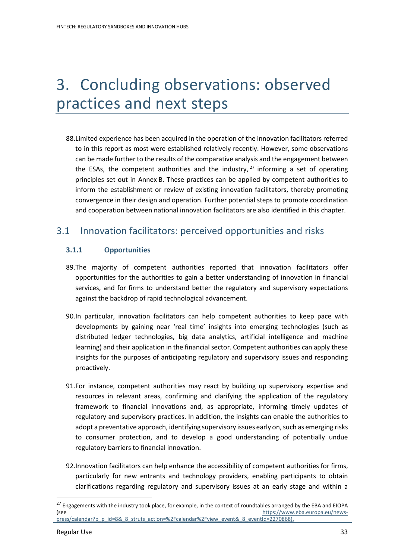# 3. Concluding observations: observed practices and next steps

88.Limited experience has been acquired in the operation of the innovation facilitators referred to in this report as most were established relatively recently. However, some observations can be made further to the results of the comparative analysis and the engagement between the ESAs, the competent authorities and the industry,  $27$  informing a set of operating principles set out in Annex B. These practices can be applied by competent authorities to inform the establishment or review of existing innovation facilitators, thereby promoting convergence in their design and operation. Further potential steps to promote coordination and cooperation between national innovation facilitators are also identified in this chapter.

# 3.1 Innovation facilitators: perceived opportunities and risks

# **3.1.1 Opportunities**

- 89.The majority of competent authorities reported that innovation facilitators offer opportunities for the authorities to gain a better understanding of innovation in financial services, and for firms to understand better the regulatory and supervisory expectations against the backdrop of rapid technological advancement.
- 90.In particular, innovation facilitators can help competent authorities to keep pace with developments by gaining near 'real time' insights into emerging technologies (such as distributed ledger technologies, big data analytics, artificial intelligence and machine learning) and their application in the financial sector. Competent authorities can apply these insights for the purposes of anticipating regulatory and supervisory issues and responding proactively.
- 91.For instance, competent authorities may react by building up supervisory expertise and resources in relevant areas, confirming and clarifying the application of the regulatory framework to financial innovations and, as appropriate, informing timely updates of regulatory and supervisory practices. In addition, the insights can enable the authorities to adopt a preventative approach, identifying supervisory issues early on, such as emerging risks to consumer protection, and to develop a good understanding of potentially undue regulatory barriers to financial innovation.
- 92.Innovation facilitators can help enhance the accessibility of competent authorities for firms, particularly for new entrants and technology providers, enabling participants to obtain clarifications regarding regulatory and supervisory issues at an early stage and within a

<span id="page-32-0"></span><sup>&</sup>lt;sup>27</sup> Engagements with the industry took place, for example, in the context of roundtables arranged by the EBA and EIOPA (see [https://www.eba.europa.eu/news](https://www.eba.europa.eu/news-press/calendar?p_p_id=8&_8_struts_action=%2Fcalendar%2Fview_event&_8_eventId=2270868)[press/calendar?p\\_p\\_id=8&\\_8\\_struts\\_action=%2Fcalendar%2Fview\\_event&\\_8\\_eventId=2270868\)](https://www.eba.europa.eu/news-press/calendar?p_p_id=8&_8_struts_action=%2Fcalendar%2Fview_event&_8_eventId=2270868).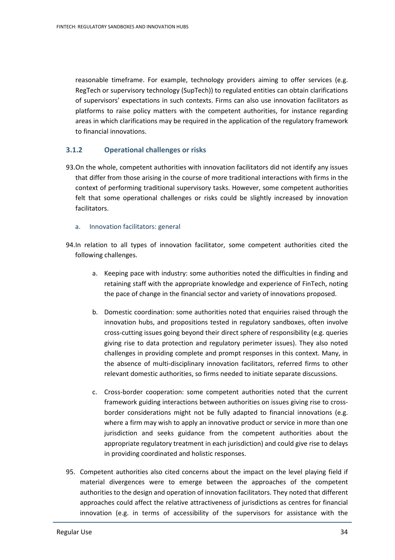reasonable timeframe. For example, technology providers aiming to offer services (e.g. RegTech or supervisory technology (SupTech)) to regulated entities can obtain clarifications of supervisors' expectations in such contexts. Firms can also use innovation facilitators as platforms to raise policy matters with the competent authorities, for instance regarding areas in which clarifications may be required in the application of the regulatory framework to financial innovations.

## **3.1.2 Operational challenges or risks**

93.On the whole, competent authorities with innovation facilitators did not identify any issues that differ from those arising in the course of more traditional interactions with firms in the context of performing traditional supervisory tasks. However, some competent authorities felt that some operational challenges or risks could be slightly increased by innovation facilitators.

#### a. Innovation facilitators: general

94.In relation to all types of innovation facilitator, some competent authorities cited the following challenges.

- a. Keeping pace with industry: some authorities noted the difficulties in finding and retaining staff with the appropriate knowledge and experience of FinTech, noting the pace of change in the financial sector and variety of innovations proposed.
- b. Domestic coordination: some authorities noted that enquiries raised through the innovation hubs, and propositions tested in regulatory sandboxes, often involve cross-cutting issues going beyond their direct sphere of responsibility (e.g. queries giving rise to data protection and regulatory perimeter issues). They also noted challenges in providing complete and prompt responses in this context. Many, in the absence of multi-disciplinary innovation facilitators, referred firms to other relevant domestic authorities, so firms needed to initiate separate discussions.
- c. Cross-border cooperation: some competent authorities noted that the current framework guiding interactions between authorities on issues giving rise to crossborder considerations might not be fully adapted to financial innovations (e.g. where a firm may wish to apply an innovative product or service in more than one jurisdiction and seeks guidance from the competent authorities about the appropriate regulatory treatment in each jurisdiction) and could give rise to delays in providing coordinated and holistic responses.
- 95. Competent authorities also cited concerns about the impact on the level playing field if material divergences were to emerge between the approaches of the competent authorities to the design and operation of innovation facilitators. They noted that different approaches could affect the relative attractiveness of jurisdictions as centres for financial innovation (e.g. in terms of accessibility of the supervisors for assistance with the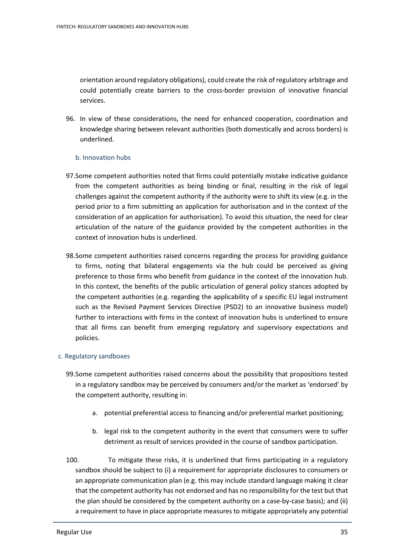orientation around regulatory obligations), could create the risk of regulatory arbitrage and could potentially create barriers to the cross-border provision of innovative financial services.

96. In view of these considerations, the need for enhanced cooperation, coordination and knowledge sharing between relevant authorities (both domestically and across borders) is underlined.

#### b. Innovation hubs

- 97.Some competent authorities noted that firms could potentially mistake indicative guidance from the competent authorities as being binding or final, resulting in the risk of legal challenges against the competent authority if the authority were to shift its view (e.g. in the period prior to a firm submitting an application for authorisation and in the context of the consideration of an application for authorisation). To avoid this situation, the need for clear articulation of the nature of the guidance provided by the competent authorities in the context of innovation hubs is underlined.
- 98.Some competent authorities raised concerns regarding the process for providing guidance to firms, noting that bilateral engagements via the hub could be perceived as giving preference to those firms who benefit from guidance in the context of the innovation hub. In this context, the benefits of the public articulation of general policy stances adopted by the competent authorities (e.g. regarding the applicability of a specific EU legal instrument such as the Revised Payment Services Directive (PSD2) to an innovative business model) further to interactions with firms in the context of innovation hubs is underlined to ensure that all firms can benefit from emerging regulatory and supervisory expectations and policies.

#### c. Regulatory sandboxes

- 99.Some competent authorities raised concerns about the possibility that propositions tested in a regulatory sandbox may be perceived by consumers and/or the market as 'endorsed' by the competent authority, resulting in:
	- a. potential preferential access to financing and/or preferential market positioning;
	- b. legal risk to the competent authority in the event that consumers were to suffer detriment as result of services provided in the course of sandbox participation.
- 100. To mitigate these risks, it is underlined that firms participating in a regulatory sandbox should be subject to (i) a requirement for appropriate disclosures to consumers or an appropriate communication plan (e.g. this may include standard language making it clear that the competent authority has not endorsed and has no responsibility for the test but that the plan should be considered by the competent authority on a case-by-case basis); and (ii) a requirement to have in place appropriate measures to mitigate appropriately any potential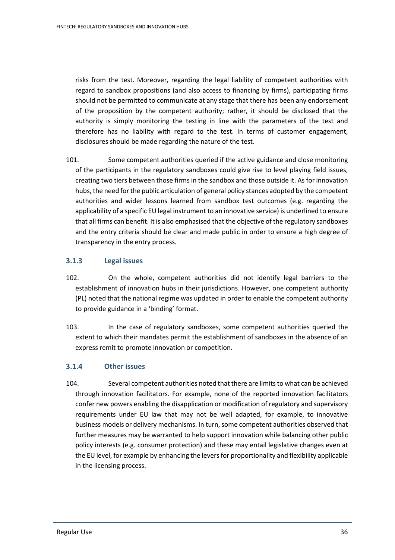risks from the test. Moreover, regarding the legal liability of competent authorities with regard to sandbox propositions (and also access to financing by firms), participating firms should not be permitted to communicate at any stage that there has been any endorsement of the proposition by the competent authority; rather, it should be disclosed that the authority is simply monitoring the testing in line with the parameters of the test and therefore has no liability with regard to the test. In terms of customer engagement, disclosures should be made regarding the nature of the test.

101. Some competent authorities queried if the active guidance and close monitoring of the participants in the regulatory sandboxes could give rise to level playing field issues, creating two tiers between those firms in the sandbox and those outside it. As for innovation hubs, the need for the public articulation of general policy stances adopted by the competent authorities and wider lessons learned from sandbox test outcomes (e.g. regarding the applicability of a specific EU legal instrument to an innovative service) is underlined to ensure that all firms can benefit. It is also emphasised that the objective of the regulatory sandboxes and the entry criteria should be clear and made public in order to ensure a high degree of transparency in the entry process.

## **3.1.3 Legal issues**

- 102. On the whole, competent authorities did not identify legal barriers to the establishment of innovation hubs in their jurisdictions. However, one competent authority (PL) noted that the national regime was updated in order to enable the competent authority to provide guidance in a 'binding' format.
- 103. In the case of regulatory sandboxes, some competent authorities queried the extent to which their mandates permit the establishment of sandboxes in the absence of an express remit to promote innovation or competition.

#### **3.1.4 Other issues**

104. Several competent authorities noted that there are limits to what can be achieved through innovation facilitators. For example, none of the reported innovation facilitators confer new powers enabling the disapplication or modification of regulatory and supervisory requirements under EU law that may not be well adapted, for example, to innovative business models or delivery mechanisms. In turn, some competent authorities observed that further measures may be warranted to help support innovation while balancing other public policy interests (e.g. consumer protection) and these may entail legislative changes even at the EU level, for example by enhancing the levers for proportionality and flexibility applicable in the licensing process.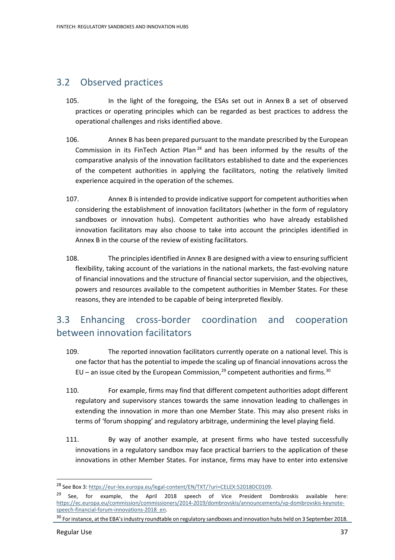# 3.2 Observed practices

- 105. In the light of the foregoing, the ESAs set out in Annex B a set of observed practices or operating principles which can be regarded as best practices to address the operational challenges and risks identified above.
- 106. Annex B has been prepared pursuant to the mandate prescribed by the European Commission in its FinTech Action Plan<sup>[28](#page-36-0)</sup> and has been informed by the results of the comparative analysis of the innovation facilitators established to date and the experiences of the competent authorities in applying the facilitators, noting the relatively limited experience acquired in the operation of the schemes.
- 107. Annex B isintended to provide indicative support for competent authorities when considering the establishment of innovation facilitators (whether in the form of regulatory sandboxes or innovation hubs). Competent authorities who have already established innovation facilitators may also choose to take into account the principles identified in Annex B in the course of the review of existing facilitators.
- 108. The principles identified in Annex B are designed with a view to ensuring sufficient flexibility, taking account of the variations in the national markets, the fast-evolving nature of financial innovations and the structure of financial sector supervision, and the objectives, powers and resources available to the competent authorities in Member States. For these reasons, they are intended to be capable of being interpreted flexibly.

# 3.3 Enhancing cross-border coordination and cooperation between innovation facilitators

- 109. The reported innovation facilitators currently operate on a national level. This is one factor that has the potential to impede the scaling up of financial innovations across the EU – an issue cited by the European Commission,<sup>[29](#page-36-1)</sup> competent authorities and firms.<sup>[30](#page-36-2)</sup>
- 110. For example, firms may find that different competent authorities adopt different regulatory and supervisory stances towards the same innovation leading to challenges in extending the innovation in more than one Member State. This may also present risks in terms of 'forum shopping' and regulatory arbitrage, undermining the level playing field.
- 111. By way of another example, at present firms who have tested successfully innovations in a regulatory sandbox may face practical barriers to the application of these innovations in other Member States. For instance, firms may have to enter into extensive

<span id="page-36-0"></span><sup>28</sup> See Box 3: [https://eur-lex.europa.eu/legal-content/EN/TXT/?uri=CELEX:52018DC0109.](https://eur-lex.europa.eu/legal-content/EN/TXT/?uri=CELEX:52018DC0109)

<span id="page-36-1"></span><sup>&</sup>lt;sup>29</sup> See, for example, the April 2018 speech of Vice President Dombroskis available here: [https://ec.europa.eu/commission/commissioners/2014-2019/dombrovskis/announcements/vp-dombrovskis-keynote](https://ec.europa.eu/commission/commissioners/2014-2019/dombrovskis/announcements/vp-dombrovskis-keynote-speech-financial-forum-innovations-2018_en)[speech-financial-forum-innovations-2018\\_en.](https://ec.europa.eu/commission/commissioners/2014-2019/dombrovskis/announcements/vp-dombrovskis-keynote-speech-financial-forum-innovations-2018_en)

<span id="page-36-2"></span><sup>&</sup>lt;sup>30</sup> For instance, at the EBA's industry roundtable on regulatory sandboxes and innovation hubs held on 3 September 2018.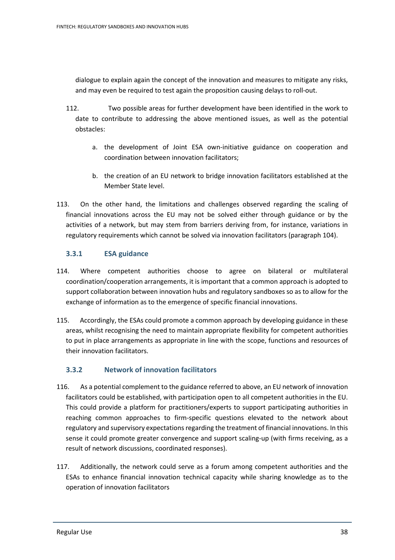dialogue to explain again the concept of the innovation and measures to mitigate any risks, and may even be required to test again the proposition causing delays to roll-out.

- 112. Two possible areas for further development have been identified in the work to date to contribute to addressing the above mentioned issues, as well as the potential obstacles:
	- a. the development of Joint ESA own-initiative guidance on cooperation and coordination between innovation facilitators;
	- b. the creation of an EU network to bridge innovation facilitators established at the Member State level.
- 113. On the other hand, the limitations and challenges observed regarding the scaling of financial innovations across the EU may not be solved either through guidance or by the activities of a network, but may stem from barriers deriving from, for instance, variations in regulatory requirements which cannot be solved via innovation facilitators (paragraph 104).

# **3.3.1 ESA guidance**

- 114. Where competent authorities choose to agree on bilateral or multilateral coordination/cooperation arrangements, it is important that a common approach is adopted to support collaboration between innovation hubs and regulatory sandboxes so as to allow for the exchange of information as to the emergence of specific financial innovations.
- 115. Accordingly, the ESAs could promote a common approach by developing guidance in these areas, whilst recognising the need to maintain appropriate flexibility for competent authorities to put in place arrangements as appropriate in line with the scope, functions and resources of their innovation facilitators.

# **3.3.2 Network of innovation facilitators**

- 116. As a potential complement to the guidance referred to above, an EU network of innovation facilitators could be established, with participation open to all competent authorities in the EU. This could provide a platform for practitioners/experts to support participating authorities in reaching common approaches to firm-specific questions elevated to the network about regulatory and supervisory expectations regarding the treatment of financial innovations. In this sense it could promote greater convergence and support scaling-up (with firms receiving, as a result of network discussions, coordinated responses).
- 117. Additionally, the network could serve as a forum among competent authorities and the ESAs to enhance financial innovation technical capacity while sharing knowledge as to the operation of innovation facilitators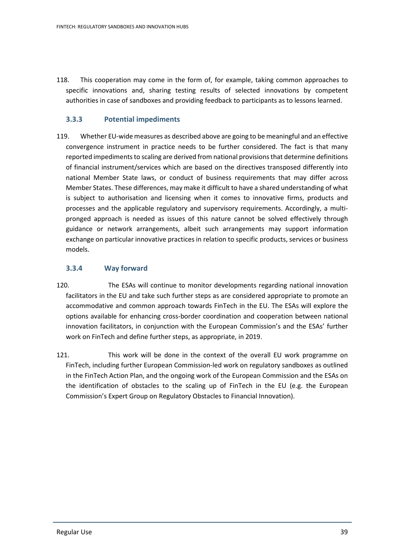118. This cooperation may come in the form of, for example, taking common approaches to specific innovations and, sharing testing results of selected innovations by competent authorities in case of sandboxes and providing feedback to participants as to lessons learned.

### **3.3.3 Potential impediments**

119. Whether EU-wide measures as described above are going to be meaningful and an effective convergence instrument in practice needs to be further considered. The fact is that many reported impediments to scaling are derived from national provisions that determine definitions of financial instrument/services which are based on the directives transposed differently into national Member State laws, or conduct of business requirements that may differ across Member States. These differences, may make it difficult to have a shared understanding of what is subject to authorisation and licensing when it comes to innovative firms, products and processes and the applicable regulatory and supervisory requirements. Accordingly, a multipronged approach is needed as issues of this nature cannot be solved effectively through guidance or network arrangements, albeit such arrangements may support information exchange on particular innovative practices in relation to specific products, services or business models.

## **3.3.4 Way forward**

- 120. The ESAs will continue to monitor developments regarding national innovation facilitators in the EU and take such further steps as are considered appropriate to promote an accommodative and common approach towards FinTech in the EU. The ESAs will explore the options available for enhancing cross-border coordination and cooperation between national innovation facilitators, in conjunction with the European Commission's and the ESAs' further work on FinTech and define further steps, as appropriate, in 2019.
- 121. This work will be done in the context of the overall EU work programme on FinTech, including further European Commission-led work on regulatory sandboxes as outlined in the FinTech Action Plan, and the ongoing work of the European Commission and the ESAs on the identification of obstacles to the scaling up of FinTech in the EU (e.g. the European Commission's Expert Group on Regulatory Obstacles to Financial Innovation).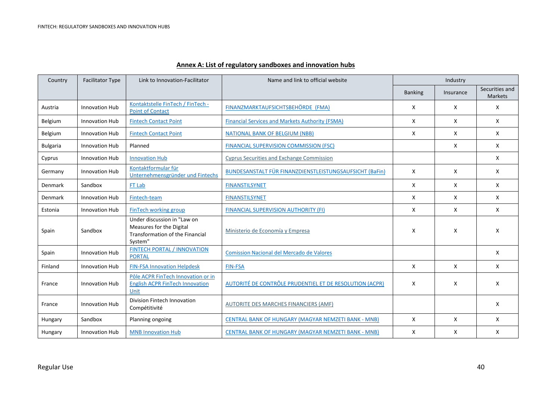## **Annex A: List of regulatory sandboxes and innovation hubs**

| Country         | <b>Facilitator Type</b> | Link to Innovation-Facilitator                                                                               | Name and link to official website                          | Industry       |           |                                  |
|-----------------|-------------------------|--------------------------------------------------------------------------------------------------------------|------------------------------------------------------------|----------------|-----------|----------------------------------|
|                 |                         |                                                                                                              |                                                            | <b>Banking</b> | Insurance | Securities and<br><b>Markets</b> |
| Austria         | <b>Innovation Hub</b>   | Kontaktstelle FinTech / FinTech -<br><b>Point of Contact</b>                                                 | FINANZMARKTAUFSICHTSBEHÖRDE (FMA)                          | X              | X         | X                                |
| Belgium         | Innovation Hub          | <b>Fintech Contact Point</b>                                                                                 | <b>Financial Services and Markets Authority (FSMA)</b>     | X              | X         | X                                |
| Belgium         | Innovation Hub          | <b>Fintech Contact Point</b>                                                                                 | <b>NATIONAL BANK OF BELGIUM (NBB)</b>                      | X              | X         | X                                |
| <b>Bulgaria</b> | <b>Innovation Hub</b>   | Planned                                                                                                      | <b>FINANCIAL SUPERVISION COMMISSION (FSC)</b>              |                | X         | X                                |
| Cyprus          | <b>Innovation Hub</b>   | <b>Innovation Hub</b>                                                                                        | <b>Cyprus Securities and Exchange Commission</b>           |                |           | X                                |
| Germany         | Innovation Hub          | Kontaktformular für<br>Unternehmensgründer und Fintechs                                                      | BUNDESANSTALT FÜR FINANZDIENSTLEISTUNGSAUFSICHT (BaFin)    | X              | X         | X                                |
| <b>Denmark</b>  | Sandbox                 | FT Lab                                                                                                       | <b>FINANSTILSYNET</b>                                      | X              | X         | X                                |
| Denmark         | Innovation Hub          | Fintech-team                                                                                                 | <b>FINANSTILSYNET</b>                                      | X              | X         | X                                |
| Estonia         | <b>Innovation Hub</b>   | FinTech working group                                                                                        | <b>FINANCIAL SUPERVISION AUTHORITY (FI)</b>                | X              | X         | X                                |
| Spain           | Sandbox                 | Under discussion in "Law on<br>Measures for the Digital<br><b>Transformation of the Financial</b><br>System" | Ministerio de Economía y Empresa                           | X              | X         | X                                |
| Spain           | <b>Innovation Hub</b>   | <b>FINTECH PORTAL / INNOVATION</b><br><b>PORTAL</b>                                                          | <b>Comission Nacional del Mercado de Valores</b>           |                |           | X                                |
| Finland         | <b>Innovation Hub</b>   | <b>FIN-FSA Innovation Helpdesk</b>                                                                           | <b>FIN-FSA</b>                                             | X              | X         | X                                |
| France          | <b>Innovation Hub</b>   | Pôle ACPR FinTech Innovation or in<br><b>English ACPR FinTech Innovation</b><br>Unit                         | AUTORITÉ DE CONTRÔLE PRUDENTIEL ET DE RESOLUTION (ACPR)    | X              | X         | X                                |
| France          | <b>Innovation Hub</b>   | Division Fintech Innovation<br>Compétitivité                                                                 | <b>AUTORITE DES MARCHES FINANCIERS (AMF)</b>               |                |           | X                                |
| Hungary         | Sandbox                 | Planning ongoing                                                                                             | CENTRAL BANK OF HUNGARY (MAGYAR NEMZETI BANK - MNB)        | X              | X         | X                                |
| Hungary         | <b>Innovation Hub</b>   | <b>MNB Innovation Hub</b>                                                                                    | <b>CENTRAL BANK OF HUNGARY (MAGYAR NEMZETI BANK - MNB)</b> | X              | X         | X                                |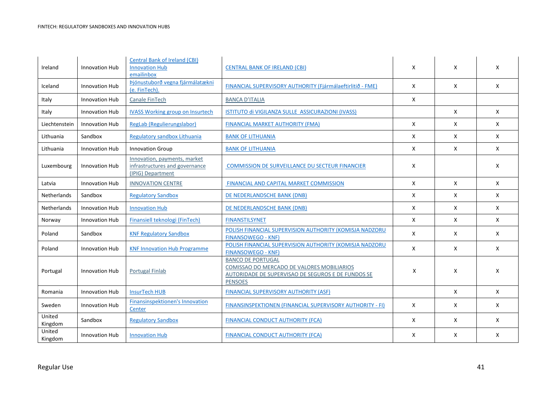| Ireland           | <b>Innovation Hub</b> | <b>Central Bank of Ireland (CBI)</b><br><b>Innovation Hub</b><br>emailinbox         | <b>CENTRAL BANK OF IRELAND (CBI)</b>                                                                                                           | X | X            | X            |
|-------------------|-----------------------|-------------------------------------------------------------------------------------|------------------------------------------------------------------------------------------------------------------------------------------------|---|--------------|--------------|
| Iceland           | <b>Innovation Hub</b> | Þjónustuborð vegna fjármálatækni<br>(e. FinTech).                                   | FINANCIAL SUPERVISORY AUTHORITY (Fjármálaeftirlitið - FME)                                                                                     | X | X            | X            |
| Italy             | <b>Innovation Hub</b> | Canale FinTech                                                                      | <b>BANCA D'ITALIA</b>                                                                                                                          | X |              |              |
| Italy             | <b>Innovation Hub</b> | <b>IVASS Working group on Insurtech</b>                                             | ISTITUTO di VIGILANZA SULLE ASSICURAZIONI (IVASS)                                                                                              |   | $\mathsf{x}$ | $\mathsf{X}$ |
| Liechtenstein     | <b>Innovation Hub</b> | RegLab (Regulierungslabor)                                                          | <b>FINANCIAL MARKET AUTHORITY (FMA)</b>                                                                                                        | X | X            | X            |
| Lithuania         | Sandbox               | Regulatory sandbox Lithuania                                                        | <b>BANK OF LITHUANIA</b>                                                                                                                       | X | X            | X            |
| Lithuania         | Innovation Hub        | <b>Innovation Group</b>                                                             | <b>BANK OF LITHUANIA</b>                                                                                                                       | X | X            | X            |
| Luxembourg        | Innovation Hub        | Innovation, payments, market<br>infrastructures and governance<br>(IPIG) Department | <b>COMMISSION DE SURVEILLANCE DU SECTEUR FINANCIER</b>                                                                                         | X |              | X            |
| Latvia            | Innovation Hub        | <b>INNOVATION CENTRE</b>                                                            | FINANCIAL AND CAPITAL MARKET COMMISSION                                                                                                        | X | X            | X            |
| Netherlands       | Sandbox               | <b>Regulatory Sandbox</b>                                                           | DE NEDERLANDSCHE BANK (DNB)                                                                                                                    | X | X            | X            |
| Netherlands       | Innovation Hub        | <b>Innovation Hub</b>                                                               | DE NEDERLANDSCHE BANK (DNB)                                                                                                                    | X | X            | X            |
| Norway            | Innovation Hub        | Finansiell teknologi (FinTech)                                                      | <b>FINANSTILSYNET</b>                                                                                                                          | X | X            | X            |
| Poland            | Sandbox               | <b>KNF Regulatory Sandbox</b>                                                       | POLISH FINANCIAL SUPERVISION AUTHORITY (KOMISJA NADZORU<br><b>FINANSOWEGO - KNF)</b>                                                           | X | X            | X            |
| Poland            | <b>Innovation Hub</b> | <b>KNF Innovation Hub Programme</b>                                                 | POLISH FINANCIAL SUPERVISION AUTHORITY (KOMISJA NADZORU<br><b>FINANSOWEGO - KNF)</b>                                                           | X | X            | X            |
| Portugal          | <b>Innovation Hub</b> | <b>Portugal Finlab</b>                                                              | <b>BANCO DE PORTUGAL</b><br>COMISSAO DO MERCADO DE VALORES MOBILIARIOS<br>AUTORIDADE DE SUPERVISAO DE SEGUROS E DE FUNDOS SE<br><b>PENSOES</b> | X | X            | X            |
| Romania           | <b>Innovation Hub</b> | <b>InsurTech HUB</b>                                                                | <b>FINANCIAL SUPERVISORY AUTHORITY (ASF)</b>                                                                                                   |   | X            | X            |
| Sweden            | Innovation Hub        | Finansinspektionen's Innovation<br>Center                                           | FINANSINSPEKTIONEN (FINANCIAL SUPERVISORY AUTHORITY - FI)                                                                                      | X | X            | X            |
| United<br>Kingdom | Sandbox               | <b>Regulatory Sandbox</b>                                                           | <b>FINANCIAL CONDUCT AUTHORITY (FCA)</b>                                                                                                       | X | X            | X            |
| United<br>Kingdom | Innovation Hub        | <b>Innovation Hub</b>                                                               | <b>FINANCIAL CONDUCT AUTHORITY (FCA)</b>                                                                                                       | X | X            | X            |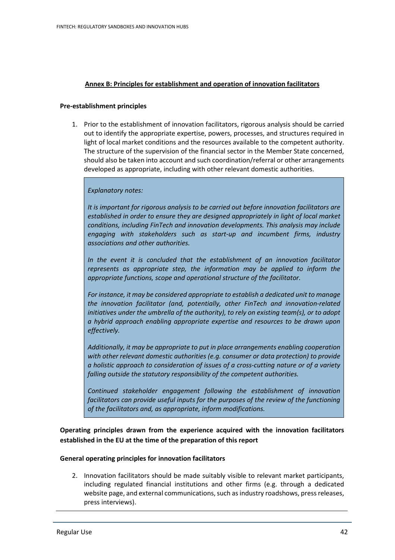#### **Annex B: Principles for establishment and operation of innovation facilitators**

#### **Pre-establishment principles**

1. Prior to the establishment of innovation facilitators, rigorous analysis should be carried out to identify the appropriate expertise, powers, processes, and structures required in light of local market conditions and the resources available to the competent authority. The structure of the supervision of the financial sector in the Member State concerned, should also be taken into account and such coordination/referral or other arrangements developed as appropriate, including with other relevant domestic authorities.

#### *Explanatory notes:*

*It is important for rigorous analysis to be carried out before innovation facilitators are established in order to ensure they are designed appropriately in light of local market conditions, including FinTech and innovation developments. This analysis may include engaging with stakeholders such as start-up and incumbent firms, industry associations and other authorities.* 

*In the event it is concluded that the establishment of an innovation facilitator represents as appropriate step, the information may be applied to inform the appropriate functions, scope and operational structure of the facilitator.*

*For instance, it may be considered appropriate to establish a dedicated unit to manage the innovation facilitator (and, potentially, other FinTech and innovation-related initiatives under the umbrella of the authority), to rely on existing team(s), or to adopt a hybrid approach enabling appropriate expertise and resources to be drawn upon effectively.*

*Additionally, it may be appropriate to put in place arrangements enabling cooperation with other relevant domestic authorities (e.g. consumer or data protection) to provide a holistic approach to consideration of issues of a cross-cutting nature or of a variety falling outside the statutory responsibility of the competent authorities.*

*Continued stakeholder engagement following the establishment of innovation facilitators can provide useful inputs for the purposes of the review of the functioning of the facilitators and, as appropriate, inform modifications.*

**Operating principles drawn from the experience acquired with the innovation facilitators established in the EU at the time of the preparation of this report**

#### **General operating principles for innovation facilitators**

2. Innovation facilitators should be made suitably visible to relevant market participants, including regulated financial institutions and other firms (e.g. through a dedicated website page, and external communications, such as industry roadshows, press releases, press interviews).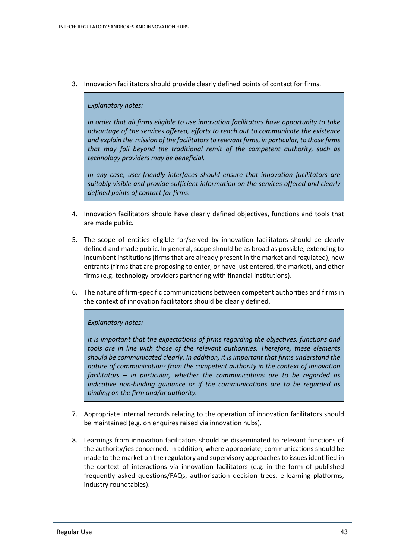3. Innovation facilitators should provide clearly defined points of contact for firms.

#### *Explanatory notes:*

*In order that all firms eligible to use innovation facilitators have opportunity to take advantage of the services offered, efforts to reach out to communicate the existence and explain the mission of the facilitators to relevant firms, in particular, to those firms that may fall beyond the traditional remit of the competent authority, such as technology providers may be beneficial.* 

*In any case, user-friendly interfaces should ensure that innovation facilitators are suitably visible and provide sufficient information on the services offered and clearly defined points of contact for firms.*

- 4. Innovation facilitators should have clearly defined objectives, functions and tools that are made public.
- 5. The scope of entities eligible for/served by innovation facilitators should be clearly defined and made public. In general, scope should be as broad as possible, extending to incumbent institutions (firms that are already present in the market and regulated), new entrants (firms that are proposing to enter, or have just entered, the market), and other firms (e.g. technology providers partnering with financial institutions).
- 6. The nature of firm-specific communications between competent authorities and firms in the context of innovation facilitators should be clearly defined.

#### *Explanatory notes:*

*It is important that the expectations of firms regarding the objectives, functions and tools are in line with those of the relevant authorities. Therefore, these elements should be communicated clearly. In addition, it is important that firms understand the nature of communications from the competent authority in the context of innovation facilitators – in particular, whether the communications are to be regarded as indicative non-binding guidance or if the communications are to be regarded as binding on the firm and/or authority.*

- 7. Appropriate internal records relating to the operation of innovation facilitators should be maintained (e.g. on enquires raised via innovation hubs).
- 8. Learnings from innovation facilitators should be disseminated to relevant functions of the authority/ies concerned. In addition, where appropriate, communications should be made to the market on the regulatory and supervisory approaches to issues identified in the context of interactions via innovation facilitators (e.g. in the form of published frequently asked questions/FAQs, authorisation decision trees, e-learning platforms, industry roundtables).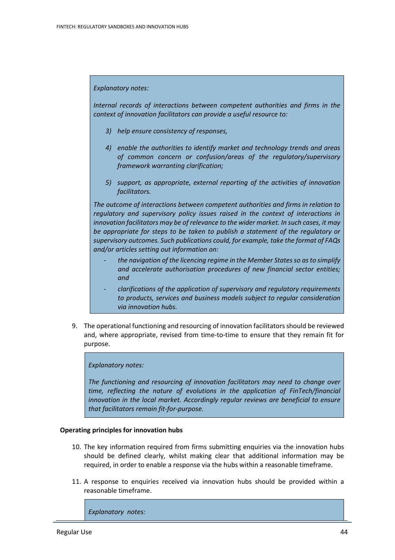#### *Explanatory notes:*

*Internal records of interactions between competent authorities and firms in the context of innovation facilitators can provide a useful resource to:* 

- *3) help ensure consistency of responses,*
- *4) enable the authorities to identify market and technology trends and areas of common concern or confusion/areas of the regulatory/supervisory framework warranting clarification;*
- *5) support, as appropriate, external reporting of the activities of innovation facilitators.*

*The outcome of interactions between competent authorities and firms in relation to regulatory and supervisory policy issues raised in the context of interactions in innovation facilitators may be of relevance to the wider market. In such cases, it may be appropriate for steps to be taken to publish a statement of the regulatory or supervisory outcomes. Such publications could, for example, take the format of FAQs and/or articles setting out information on:*

- *the navigation of the licencing regime in the Member States so as to simplify and accelerate authorisation procedures of new financial sector entities; and*
- *clarifications of the application of supervisory and regulatory requirements to products, services and business models subject to regular consideration via innovation hubs.*
- 9. The operational functioning and resourcing of innovation facilitatorsshould be reviewed and, where appropriate, revised from time-to-time to ensure that they remain fit for purpose.

#### *Explanatory notes:*

*The functioning and resourcing of innovation facilitators may need to change over time, reflecting the nature of evolutions in the application of FinTech/financial innovation in the local market. Accordingly regular reviews are beneficial to ensure that facilitators remain fit-for-purpose.*

#### **Operating principles for innovation hubs**

- 10. The key information required from firms submitting enquiries via the innovation hubs should be defined clearly, whilst making clear that additional information may be required, in order to enable a response via the hubs within a reasonable timeframe.
- 11. A response to enquiries received via innovation hubs should be provided within a reasonable timeframe.

*Explanatory notes:*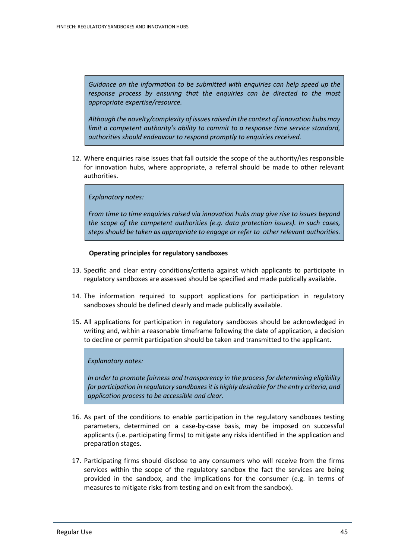*Guidance on the information to be submitted with enquiries can help speed up the response process by ensuring that the enquiries can be directed to the most appropriate expertise/resource.*

*Although the novelty/complexity of issues raised in the context of innovation hubs may limit a competent authority's ability to commit to a response time service standard, authorities should endeavour to respond promptly to enquiries received.*

12. Where enquiries raise issues that fall outside the scope of the authority/ies responsible for innovation hubs, where appropriate, a referral should be made to other relevant authorities.

#### *Explanatory notes:*

*From time to time enquiries raised via innovation hubs may give rise to issues beyond the scope of the competent authorities (e.g. data protection issues). In such cases, steps should be taken as appropriate to engage or refer to other relevant authorities.*

#### **Operating principles for regulatory sandboxes**

- 13. Specific and clear entry conditions/criteria against which applicants to participate in regulatory sandboxes are assessed should be specified and made publically available.
- 14. The information required to support applications for participation in regulatory sandboxes should be defined clearly and made publically available.
- 15. All applications for participation in regulatory sandboxes should be acknowledged in writing and, within a reasonable timeframe following the date of application, a decision to decline or permit participation should be taken and transmitted to the applicant.

#### *Explanatory notes:*

*In order to promote fairness and transparency in the process for determining eligibility for participation in regulatory sandboxes it is highly desirable for the entry criteria, and application process to be accessible and clear.*

- 16. As part of the conditions to enable participation in the regulatory sandboxes testing parameters, determined on a case-by-case basis, may be imposed on successful applicants (i.e. participating firms) to mitigate any risks identified in the application and preparation stages.
- 17. Participating firms should disclose to any consumers who will receive from the firms services within the scope of the regulatory sandbox the fact the services are being provided in the sandbox, and the implications for the consumer (e.g. in terms of measures to mitigate risks from testing and on exit from the sandbox).